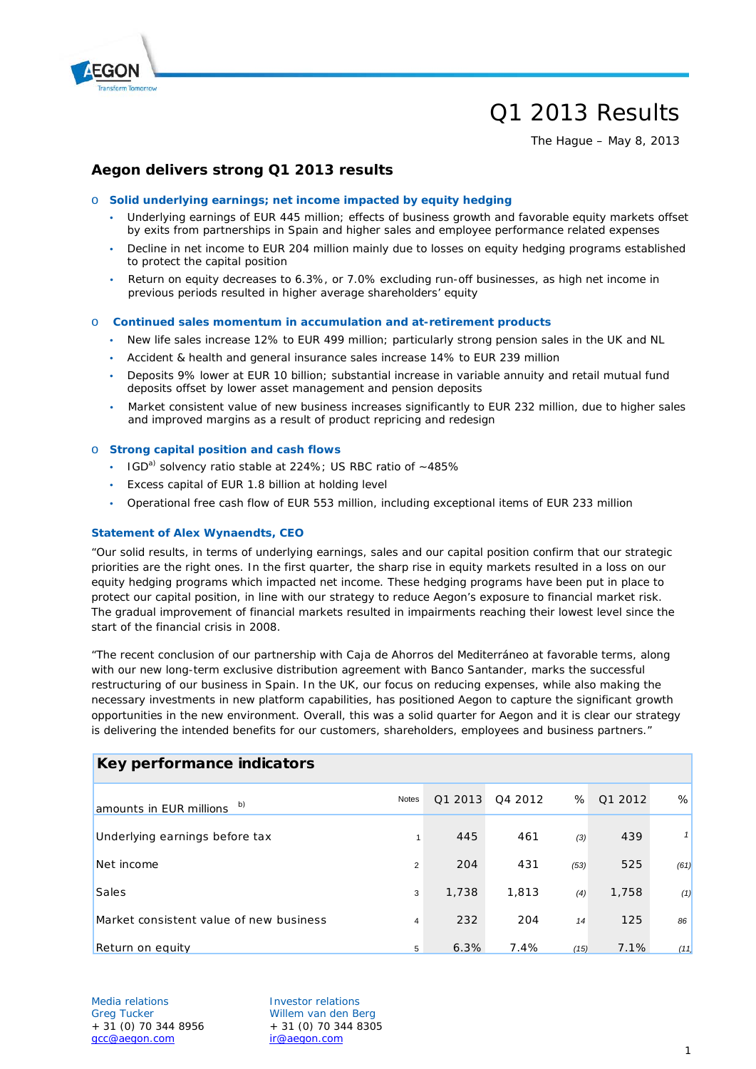

# Q1 2013 Results

The Hague – May 8, 2013

## **Aegon delivers strong Q1 2013 results**

#### o **Solid underlying earnings; net income impacted by equity hedging**

- Underlying earnings of EUR 445 million; effects of business growth and favorable equity markets offset by exits from partnerships in Spain and higher sales and employee performance related expenses
- Decline in net income to EUR 204 million mainly due to losses on equity hedging programs established to protect the capital position
- Return on equity decreases to 6.3%, or 7.0% excluding run-off businesses, as high net income in previous periods resulted in higher average shareholders' equity

#### o **Continued sales momentum in accumulation and at-retirement products**

- New life sales increase 12% to EUR 499 million; particularly strong pension sales in the UK and NL
- Accident & health and general insurance sales increase 14% to EUR 239 million
- Deposits 9% lower at EUR 10 billion; substantial increase in variable annuity and retail mutual fund deposits offset by lower asset management and pension deposits
- Market consistent value of new business increases significantly to EUR 232 million, due to higher sales and improved margins as a result of product repricing and redesign

#### o **Strong capital position and cash flows**

- $\cdot$  IGD<sup>a)</sup> solvency ratio stable at 224%; US RBC ratio of  $\sim$  485%
- Excess capital of EUR 1.8 billion at holding level
- Operational free cash flow of EUR 553 million, including exceptional items of EUR 233 million

#### **Statement of Alex Wynaendts, CEO**

"Our solid results, in terms of underlying earnings, sales and our capital position confirm that our strategic priorities are the right ones. In the first quarter, the sharp rise in equity markets resulted in a loss on our equity hedging programs which impacted net income. These hedging programs have been put in place to protect our capital position, in line with our strategy to reduce Aegon's exposure to financial market risk. The gradual improvement of financial markets resulted in impairments reaching their lowest level since the start of the financial crisis in 2008.

"The recent conclusion of our partnership with Caja de Ahorros del Mediterráneo at favorable terms, along with our new long-term exclusive distribution agreement with Banco Santander, marks the successful restructuring of our business in Spain. In the UK, our focus on reducing expenses, while also making the necessary investments in new platform capabilities, has positioned Aegon to capture the significant growth opportunities in the new environment. Overall, this was a solid quarter for Aegon and it is clear our strategy is delivering the intended benefits for our customers, shareholders, employees and business partners."

| Key performance indicators              |                |         |         |      |         |      |  |  |
|-----------------------------------------|----------------|---------|---------|------|---------|------|--|--|
| b)<br>amounts in EUR millions           | Notes          | Q1 2013 | Q4 2012 | %    | Q1 2012 | %    |  |  |
| Underlying earnings before tax          | $\mathbf{1}$   | 445     | 461     | (3)  | 439     |      |  |  |
| Net income                              | $\overline{2}$ | 204     | 431     | (53) | 525     | (61) |  |  |
| Sales                                   | 3              | 1,738   | 1,813   | (4)  | 1,758   | (1)  |  |  |
| Market consistent value of new business | $\overline{4}$ | 232     | 204     | 14   | 125     | 86   |  |  |
| Return on equity                        | 5              | 6.3%    | 7.4%    | (15) | 7.1%    | (11) |  |  |

#### Media relations and all investor relations Greg Tucker Willem van den Berg  $+ 31 (0) 70 344 8956$   $+ 31 (0) 70 344 8305$ [gcc@aegon.com](mailto:gcc@aegon.com) [ir@aegon.com](mailto:ir@aegon.com)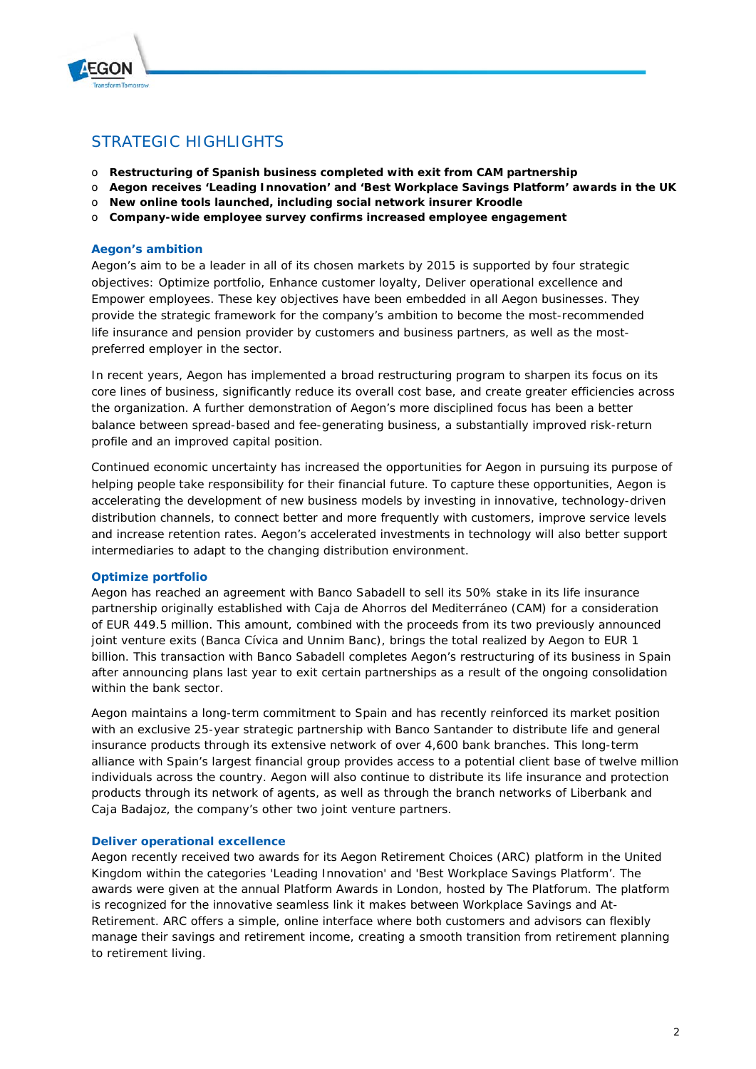

## STRATEGIC HIGHLIGHTS

- o **Restructuring of Spanish business completed with exit from CAM partnership**
- o **Aegon receives 'Leading Innovation' and 'Best Workplace Savings Platform' awards in the UK**
- o **New online tools launched, including social network insurer Kroodle**
- o **Company-wide employee survey confirms increased employee engagement**

#### **Aegon's ambition**

Aegon's aim to be a leader in all of its chosen markets by 2015 is supported by four strategic objectives: Optimize portfolio, Enhance customer loyalty, Deliver operational excellence and Empower employees. These key objectives have been embedded in all Aegon businesses. They provide the strategic framework for the company's ambition to become the most-recommended life insurance and pension provider by customers and business partners, as well as the mostpreferred employer in the sector.

In recent years, Aegon has implemented a broad restructuring program to sharpen its focus on its core lines of business, significantly reduce its overall cost base, and create greater efficiencies across the organization. A further demonstration of Aegon's more disciplined focus has been a better balance between spread-based and fee-generating business, a substantially improved risk-return profile and an improved capital position.

Continued economic uncertainty has increased the opportunities for Aegon in pursuing its purpose of helping people take responsibility for their financial future. To capture these opportunities, Aegon is accelerating the development of new business models by investing in innovative, technology-driven distribution channels, to connect better and more frequently with customers, improve service levels and increase retention rates. Aegon's accelerated investments in technology will also better support intermediaries to adapt to the changing distribution environment.

### **Optimize portfolio**

Aegon has reached an agreement with Banco Sabadell to sell its 50% stake in its life insurance partnership originally established with Caja de Ahorros del Mediterráneo (CAM) for a consideration of EUR 449.5 million. This amount, combined with the proceeds from its two previously announced joint venture exits (Banca Cívica and Unnim Banc), brings the total realized by Aegon to EUR 1 billion. This transaction with Banco Sabadell completes Aegon's restructuring of its business in Spain after announcing plans last year to exit certain partnerships as a result of the ongoing consolidation within the bank sector.

Aegon maintains a long-term commitment to Spain and has recently reinforced its market position with an exclusive 25-year strategic partnership with Banco Santander to distribute life and general insurance products through its extensive network of over 4,600 bank branches. This long-term alliance with Spain's largest financial group provides access to a potential client base of twelve million individuals across the country. Aegon will also continue to distribute its life insurance and protection products through its network of agents, as well as through the branch networks of Liberbank and Caja Badajoz, the company's other two joint venture partners.

### **Deliver operational excellence**

Aegon recently received two awards for its Aegon Retirement Choices (ARC) platform in the United Kingdom within the categories 'Leading Innovation' and 'Best Workplace Savings Platform'. The awards were given at the annual Platform Awards in London, hosted by The Platforum. The platform is recognized for the innovative seamless link it makes between Workplace Savings and At-Retirement. ARC offers a simple, online interface where both customers and advisors can flexibly manage their savings and retirement income, creating a smooth transition from retirement planning to retirement living.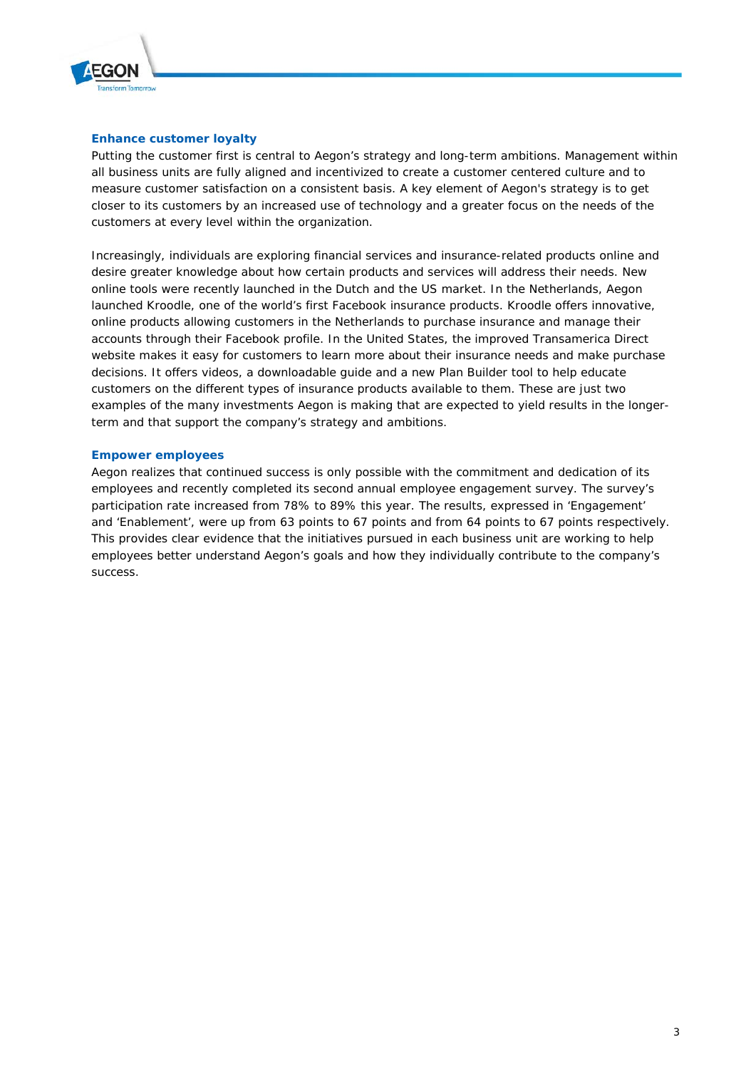

## **Enhance customer loyalty**

Putting the customer first is central to Aegon's strategy and long-term ambitions. Management within all business units are fully aligned and incentivized to create a customer centered culture and to measure customer satisfaction on a consistent basis. A key element of Aegon's strategy is to get closer to its customers by an increased use of technology and a greater focus on the needs of the customers at every level within the organization.

Increasingly, individuals are exploring financial services and insurance-related products online and desire greater knowledge about how certain products and services will address their needs. New online tools were recently launched in the Dutch and the US market. In the Netherlands, Aegon launched Kroodle, one of the world's first Facebook insurance products. Kroodle offers innovative, online products allowing customers in the Netherlands to purchase insurance and manage their accounts through their Facebook profile. In the United States, the improved Transamerica Direct website makes it easy for customers to learn more about their insurance needs and make purchase decisions. It offers videos, a downloadable guide and a new Plan Builder tool to help educate customers on the different types of insurance products available to them. These are just two examples of the many investments Aegon is making that are expected to yield results in the longerterm and that support the company's strategy and ambitions.

### **Empower employees**

Aegon realizes that continued success is only possible with the commitment and dedication of its employees and recently completed its second annual employee engagement survey. The survey's participation rate increased from 78% to 89% this year. The results, expressed in 'Engagement' and 'Enablement', were up from 63 points to 67 points and from 64 points to 67 points respectively. This provides clear evidence that the initiatives pursued in each business unit are working to help employees better understand Aegon's goals and how they individually contribute to the company's success.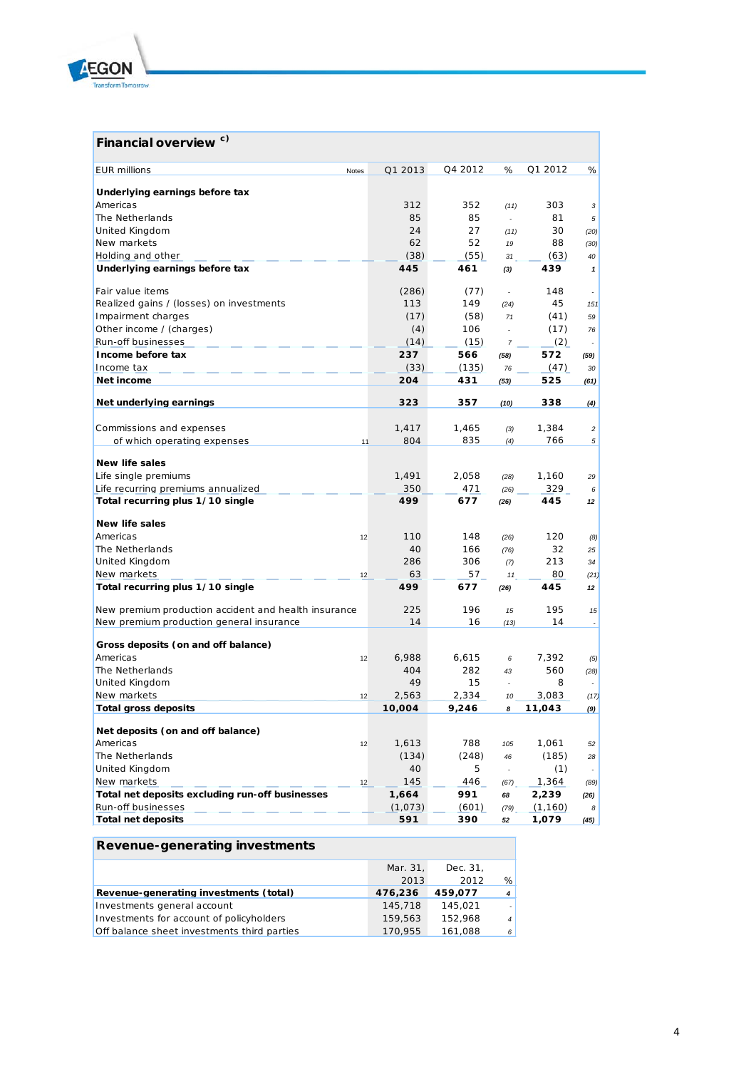

## **Financial overview c)**

| <b>EUR millions</b><br>Notes                         | Q1 2013 | Q4 2012 | %                        | Q1 2012  | %                        |
|------------------------------------------------------|---------|---------|--------------------------|----------|--------------------------|
|                                                      |         |         |                          |          |                          |
| Underlying earnings before tax                       |         |         |                          |          |                          |
| Americas                                             | 312     | 352     | (11)                     | 303      | 3                        |
| The Netherlands                                      | 85      | 85      | ÷                        | 81       | 5                        |
| United Kingdom                                       | 24      | 27      | (11)                     | 30       | (20)                     |
| New markets                                          | 62      | 52      | 19                       | 88       | (30)                     |
| Holding and other                                    | (38)    | (55)    | 31                       | (63)     | 40                       |
| Underlying earnings before tax                       | 445     | 461     | (3)                      | 439      | $\mathbf{1}$             |
| Fair value items                                     | (286)   | (77)    | ÷.                       | 148      |                          |
| Realized gains / (losses) on investments             | 113     | 149     | (24)                     | 45       | 151                      |
| Impairment charges                                   | (17)    | (58)    | 71                       | (41)     | 59                       |
| Other income / (charges)                             | (4)     | 106     | ÷.                       | (17)     | 76                       |
| Run-off businesses                                   | (14)    | (15)    | $\overline{7}$           | (2)      |                          |
| Income before tax                                    | 237     | 566     | (58)                     | 572      | (59)                     |
| Income tax                                           | (33)    | (135)   | 76                       | (47)     | 30                       |
| Net income                                           | 204     | 431     | (53)                     | 525      | (61)                     |
|                                                      |         |         |                          |          |                          |
| Net underlying earnings                              | 323     | 357     | (10)                     | 338      | (4)                      |
|                                                      |         |         |                          |          |                          |
| Commissions and expenses                             | 1,417   | 1,465   | (3)                      | 1,384    | $\overline{c}$           |
| of which operating expenses<br>11                    | 804     | 835     | (4)                      | 766      | 5                        |
| <b>New life sales</b>                                |         |         |                          |          |                          |
| Life single premiums                                 | 1,491   | 2,058   | (28)                     | 1,160    | 29                       |
| Life recurring premiums annualized                   | 350     | 471     | (26)                     | 329      | 6                        |
| Total recurring plus 1/10 single                     | 499     | 677     | (26)                     | 445      | 12                       |
|                                                      |         |         |                          |          |                          |
| <b>New life sales</b>                                |         |         |                          |          |                          |
| Americas<br>12                                       | 110     | 148     | (26)                     | 120      | (8)                      |
| The Netherlands                                      | 40      | 166     | (76)                     | 32       | 25                       |
| United Kingdom                                       | 286     | 306     | (7)                      | 213      | 34                       |
| New markets<br>12                                    | 63      | 57      | 11                       | 80       | (21)                     |
| Total recurring plus 1/10 single                     | 499     | 677     | (26)                     | 445      | 12                       |
| New premium production accident and health insurance | 225     | 196     | 15                       | 195      | 15                       |
| New premium production general insurance             | 14      | 16      | (13)                     | 14       |                          |
|                                                      |         |         |                          |          |                          |
| Gross deposits (on and off balance)                  |         |         |                          |          |                          |
| Americas<br>12                                       | 6,988   | 6,615   | 6                        | 7,392    | (5)                      |
| The Netherlands                                      | 404     | 282     | 43                       | 560      | (28)                     |
| United Kingdom                                       | 49      | 15      | ÷.                       | 8        | $\overline{\phantom{a}}$ |
| New markets<br>12                                    | 2.563   | 2,334   | 10                       | 3,083    | (17)                     |
| <b>Total gross deposits</b>                          | 10,004  | 9,246   | 8                        | 11,043   | (9)                      |
| Net deposits (on and off balance)                    |         |         |                          |          |                          |
| Americas<br>12                                       | 1,613   | 788     | 105                      | 1,061    | 52                       |
| The Netherlands                                      | (134)   | (248)   | 46                       | (185)    | 28                       |
| <b>United Kingdom</b>                                | 40      | 5       | $\overline{\phantom{a}}$ | (1)      | $\overline{\phantom{a}}$ |
| New markets<br>12                                    | 145     | 446     | (67)                     | 1,364    | (89)                     |
| Total net deposits excluding run-off businesses      | 1,664   | 991     | 68                       | 2,239    | (26)                     |
| Run-off businesses                                   | (1,073) | (601)   | (79)                     | (1, 160) | 8                        |
| <b>Total net deposits</b>                            | 591     | 390     | 52                       | 1,079    | (45)                     |
|                                                      |         |         |                          |          |                          |

### **Revenue-generating investments** Mar. 31, Dec. 31, 2013 2012 % **Revenue-generating investments (total) 476,236 459,077** *4* Investments general account 145,718 145,021 -<br>152,968 152,968 167,021 - 1199,563 152,968 152,968 152,968 152,968 152,968 167,021 152,968 167,021 152,968 16 Investments for account of policyholders 159,563 152,968 4<br>Off balance sheet investments third parties 170,955 161,088 6 Off balance sheet investments third parties 170,955 161,088 6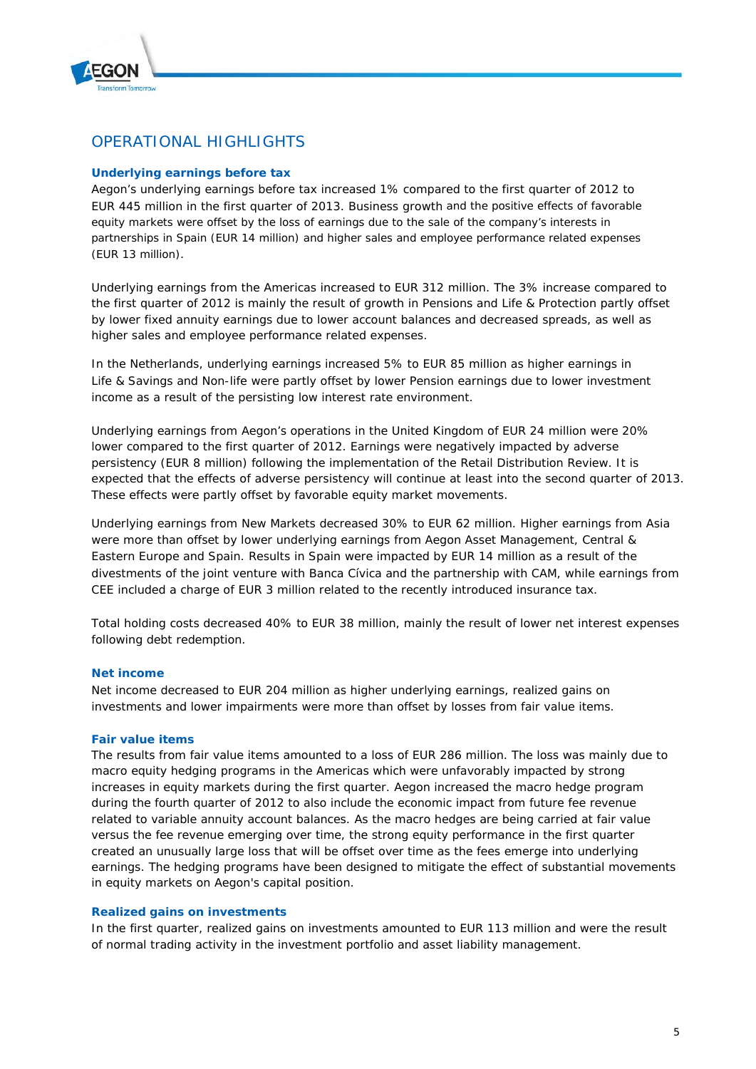

## OPERATIONAL HIGHLIGHTS

### **Underlying earnings before tax**

Aegon's underlying earnings before tax increased 1% compared to the first quarter of 2012 to EUR 445 million in the first quarter of 2013. Business growth and the positive effects of favorable equity markets were offset by the loss of earnings due to the sale of the company's interests in partnerships in Spain (EUR 14 million) and higher sales and employee performance related expenses (EUR 13 million).

Underlying earnings from the Americas increased to EUR 312 million. The 3% increase compared to the first quarter of 2012 is mainly the result of growth in Pensions and Life & Protection partly offset by lower fixed annuity earnings due to lower account balances and decreased spreads, as well as higher sales and employee performance related expenses.

In the Netherlands, underlying earnings increased 5% to EUR 85 million as higher earnings in Life & Savings and Non-life were partly offset by lower Pension earnings due to lower investment income as a result of the persisting low interest rate environment.

Underlying earnings from Aegon's operations in the United Kingdom of EUR 24 million were 20% lower compared to the first quarter of 2012. Earnings were negatively impacted by adverse persistency (EUR 8 million) following the implementation of the Retail Distribution Review. It is expected that the effects of adverse persistency will continue at least into the second quarter of 2013. These effects were partly offset by favorable equity market movements.

Underlying earnings from New Markets decreased 30% to EUR 62 million. Higher earnings from Asia were more than offset by lower underlying earnings from Aegon Asset Management, Central & Eastern Europe and Spain. Results in Spain were impacted by EUR 14 million as a result of the divestments of the joint venture with Banca Cívica and the partnership with CAM, while earnings from CEE included a charge of EUR 3 million related to the recently introduced insurance tax.

Total holding costs decreased 40% to EUR 38 million, mainly the result of lower net interest expenses following debt redemption.

### **Net income**

Net income decreased to EUR 204 million as higher underlying earnings, realized gains on investments and lower impairments were more than offset by losses from fair value items.

### **Fair value items**

The results from fair value items amounted to a loss of EUR 286 million. The loss was mainly due to macro equity hedging programs in the Americas which were unfavorably impacted by strong increases in equity markets during the first quarter. Aegon increased the macro hedge program during the fourth quarter of 2012 to also include the economic impact from future fee revenue related to variable annuity account balances. As the macro hedges are being carried at fair value versus the fee revenue emerging over time, the strong equity performance in the first quarter created an unusually large loss that will be offset over time as the fees emerge into underlying earnings. The hedging programs have been designed to mitigate the effect of substantial movements in equity markets on Aegon's capital position.

### **Realized gains on investments**

In the first quarter, realized gains on investments amounted to EUR 113 million and were the result of normal trading activity in the investment portfolio and asset liability management.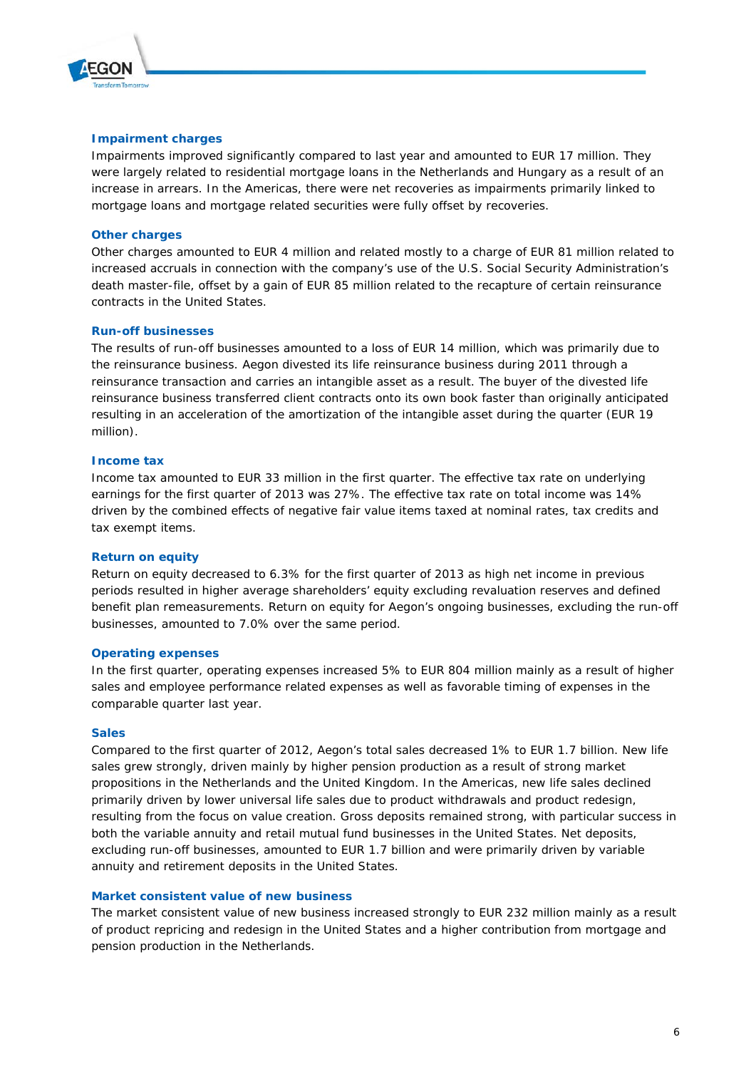

#### **Impairment charges**

Impairments improved significantly compared to last year and amounted to EUR 17 million. They were largely related to residential mortgage loans in the Netherlands and Hungary as a result of an increase in arrears. In the Americas, there were net recoveries as impairments primarily linked to mortgage loans and mortgage related securities were fully offset by recoveries.

### **Other charges**

Other charges amounted to EUR 4 million and related mostly to a charge of EUR 81 million related to increased accruals in connection with the company's use of the U.S. Social Security Administration's death master-file, offset by a gain of EUR 85 million related to the recapture of certain reinsurance contracts in the United States.

#### **Run-off businesses**

The results of run-off businesses amounted to a loss of EUR 14 million, which was primarily due to the reinsurance business. Aegon divested its life reinsurance business during 2011 through a reinsurance transaction and carries an intangible asset as a result. The buyer of the divested life reinsurance business transferred client contracts onto its own book faster than originally anticipated resulting in an acceleration of the amortization of the intangible asset during the quarter (EUR 19 million).

#### **Income tax**

Income tax amounted to EUR 33 million in the first quarter. The effective tax rate on underlying earnings for the first quarter of 2013 was 27%. The effective tax rate on total income was 14% driven by the combined effects of negative fair value items taxed at nominal rates, tax credits and tax exempt items.

#### **Return on equity**

Return on equity decreased to 6.3% for the first quarter of 2013 as high net income in previous periods resulted in higher average shareholders' equity excluding revaluation reserves and defined benefit plan remeasurements. Return on equity for Aegon's ongoing businesses, excluding the run-off businesses, amounted to 7.0% over the same period.

#### **Operating expenses**

In the first quarter, operating expenses increased 5% to EUR 804 million mainly as a result of higher sales and employee performance related expenses as well as favorable timing of expenses in the comparable quarter last year.

#### **Sales**

Compared to the first quarter of 2012, Aegon's total sales decreased 1% to EUR 1.7 billion. New life sales grew strongly, driven mainly by higher pension production as a result of strong market propositions in the Netherlands and the United Kingdom. In the Americas, new life sales declined primarily driven by lower universal life sales due to product withdrawals and product redesign, resulting from the focus on value creation. Gross deposits remained strong, with particular success in both the variable annuity and retail mutual fund businesses in the United States. Net deposits, excluding run-off businesses, amounted to EUR 1.7 billion and were primarily driven by variable annuity and retirement deposits in the United States.

#### **Market consistent value of new business**

The market consistent value of new business increased strongly to EUR 232 million mainly as a result of product repricing and redesign in the United States and a higher contribution from mortgage and pension production in the Netherlands.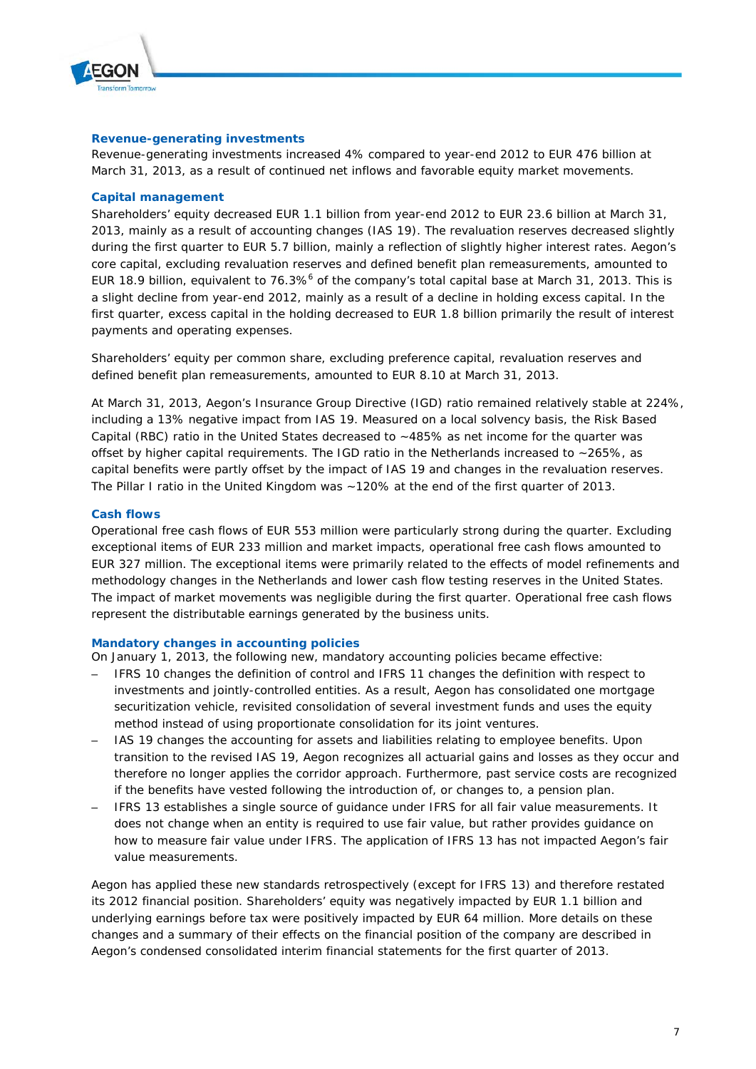

### **Revenue-generating investments**

Revenue-generating investments increased 4% compared to year-end 2012 to EUR 476 billion at March 31, 2013, as a result of continued net inflows and favorable equity market movements.

#### **Capital management**

Shareholders' equity decreased EUR 1.1 billion from year-end 2012 to EUR 23.6 billion at March 31, 2013, mainly as a result of accounting changes (IAS 19). The revaluation reserves decreased slightly during the first quarter to EUR 5.7 billion, mainly a reflection of slightly higher interest rates. Aegon's core capital, excluding revaluation reserves and defined benefit plan remeasurements, amounted to EUR 18.9 billion, equivalent to 76.3%<sup>6</sup> of the company's total capital base at March 31, 2013. This is a slight decline from year-end 2012, mainly as a result of a decline in holding excess capital. In the first quarter, excess capital in the holding decreased to EUR 1.8 billion primarily the result of interest payments and operating expenses.

Shareholders' equity per common share, excluding preference capital, revaluation reserves and defined benefit plan remeasurements, amounted to EUR 8.10 at March 31, 2013.

At March 31, 2013, Aegon's Insurance Group Directive (IGD) ratio remained relatively stable at 224%, including a 13% negative impact from IAS 19. Measured on a local solvency basis, the Risk Based Capital (RBC) ratio in the United States decreased to ~485% as net income for the quarter was offset by higher capital requirements. The IGD ratio in the Netherlands increased to ~265%, as capital benefits were partly offset by the impact of IAS 19 and changes in the revaluation reserves. The Pillar I ratio in the United Kingdom was ~120% at the end of the first quarter of 2013.

#### **Cash flows**

Operational free cash flows of EUR 553 million were particularly strong during the quarter. Excluding exceptional items of EUR 233 million and market impacts, operational free cash flows amounted to EUR 327 million. The exceptional items were primarily related to the effects of model refinements and methodology changes in the Netherlands and lower cash flow testing reserves in the United States. The impact of market movements was negligible during the first quarter. Operational free cash flows represent the distributable earnings generated by the business units.

### **Mandatory changes in accounting policies**

On January 1, 2013, the following new, mandatory accounting policies became effective:

- IFRS 10 changes the definition of control and IFRS 11 changes the definition with respect to investments and jointly-controlled entities. As a result, Aegon has consolidated one mortgage securitization vehicle, revisited consolidation of several investment funds and uses the equity method instead of using proportionate consolidation for its joint ventures.
- IAS 19 changes the accounting for assets and liabilities relating to employee benefits. Upon transition to the revised IAS 19, Aegon recognizes all actuarial gains and losses as they occur and therefore no longer applies the corridor approach. Furthermore, past service costs are recognized if the benefits have vested following the introduction of, or changes to, a pension plan.
- IFRS 13 establishes a single source of guidance under IFRS for all fair value measurements. It does not change when an entity is required to use fair value, but rather provides guidance on how to measure fair value under IFRS. The application of IFRS 13 has not impacted Aegon's fair value measurements.

Aegon has applied these new standards retrospectively (except for IFRS 13) and therefore restated its 2012 financial position. Shareholders' equity was negatively impacted by EUR 1.1 billion and underlying earnings before tax were positively impacted by EUR 64 million. More details on these changes and a summary of their effects on the financial position of the company are described in Aegon's condensed consolidated interim financial statements for the first quarter of 2013.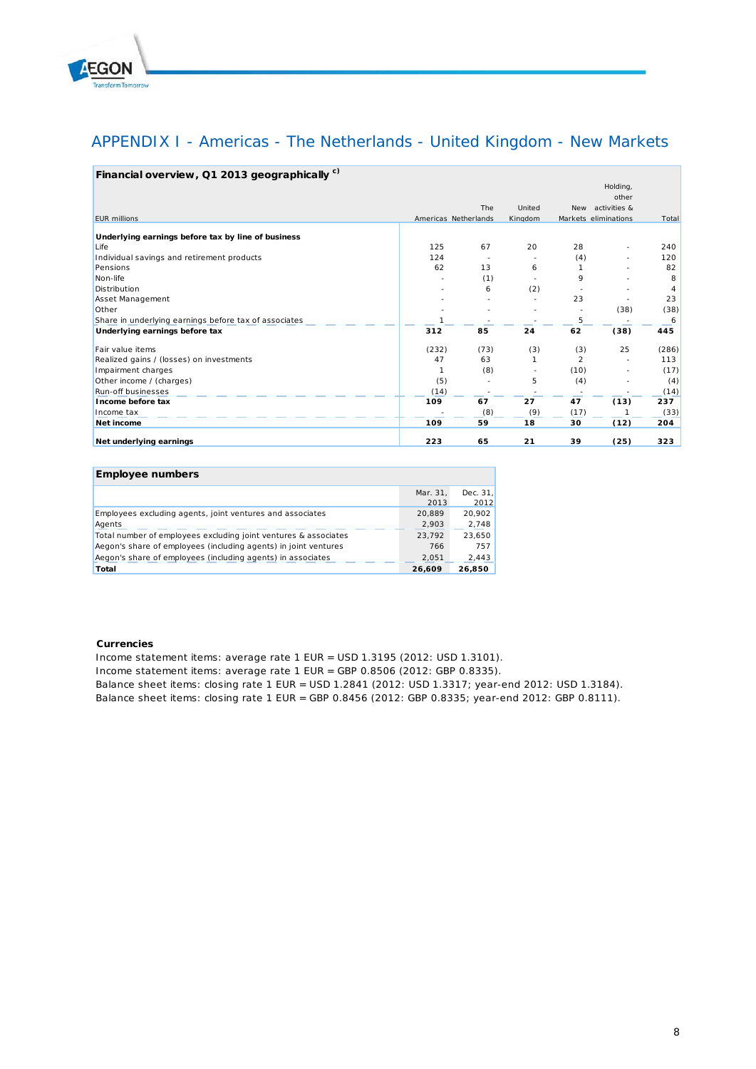

## APPENDIX I - Americas - The Netherlands - United Kingdom - New Markets

| Financial overview, Q1 2013 geographically <sup>c)</sup> |                      |      |         |                |                      |       |
|----------------------------------------------------------|----------------------|------|---------|----------------|----------------------|-------|
|                                                          |                      |      |         |                | Holding,             |       |
|                                                          |                      |      |         |                | other                |       |
|                                                          |                      | The  | United  | <b>New</b>     | activities &         |       |
| <b>EUR</b> millions                                      | Americas Netherlands |      | Kingdom |                | Markets eliminations | Total |
| Underlying earnings before tax by line of business       |                      |      |         |                |                      |       |
| Life                                                     | 125                  | 67   | 20      | 28             |                      | 240   |
| Individual savings and retirement products               | 124                  |      |         | (4)            |                      | 120   |
| Pensions                                                 | 62                   | 13   | 6       |                |                      | 82    |
| Non-life                                                 |                      | (1)  |         | 9              |                      | 8     |
| Distribution                                             |                      | 6    | (2)     |                |                      |       |
| Asset Management                                         |                      |      | ٠       | 23             |                      | 23    |
| Other                                                    |                      |      |         |                | (38)                 | (38)  |
| Share in underlying earnings before tax of associates    | 1                    |      |         | 5              |                      | 6     |
| Underlying earnings before tax                           | 312                  | 85   | 24      | 62             | (38)                 | 445   |
| Fair value items                                         | (232)                | (73) | (3)     | (3)            | 25                   | (286) |
| Realized gains / (losses) on investments                 | 47                   | 63   |         | $\mathfrak{p}$ |                      | 113   |
| Impairment charges                                       | $\mathbf{1}$         | (8)  |         | (10)           |                      | (17)  |
| Other income / (charges)                                 | (5)                  |      | 5       | (4)            |                      | (4)   |
| Run-off businesses                                       | (14)                 |      |         |                |                      | (14)  |
| Income before tax                                        | 109                  | 67   | 27      | 47             | (13)                 | 237   |
| Income tax                                               |                      | (8)  | (9)     | (17)           |                      | (33)  |
| Net income                                               | 109                  | 59   | 18      | 30             | (12)                 | 204   |
| Net underlying earnings                                  | 223                  | 65   | 21      | 39             | (25)                 | 323   |

#### **Employee numbers**

|                                                                 | Mar. 31.<br>2013 | Dec. 31.<br>2012 |
|-----------------------------------------------------------------|------------------|------------------|
| Employees excluding agents, joint ventures and associates       | 20.889           | 20.902           |
| Agents                                                          | 2,903            | 2.748            |
| Total number of employees excluding joint ventures & associates | 23.792           | 23.650           |
| Aegon's share of employees (including agents) in joint ventures | 766              | 757              |
| Aegon's share of employees (including agents) in associates     | 2.051            | 2.443            |
| Total                                                           | 26.609           | 26.850           |

#### **Currencies**

Income statement items: average rate 1 EUR = USD 1.3195 (2012: USD 1.3101).

Income statement items: average rate 1 EUR = GBP 0.8506 (2012: GBP 0.8335).

Balance sheet items: closing rate 1 EUR = USD 1.2841 (2012: USD 1.3317; year-end 2012: USD 1.3184).

Balance sheet items: closing rate 1 EUR = GBP 0.8456 (2012: GBP 0.8335; year-end 2012: GBP 0.8111).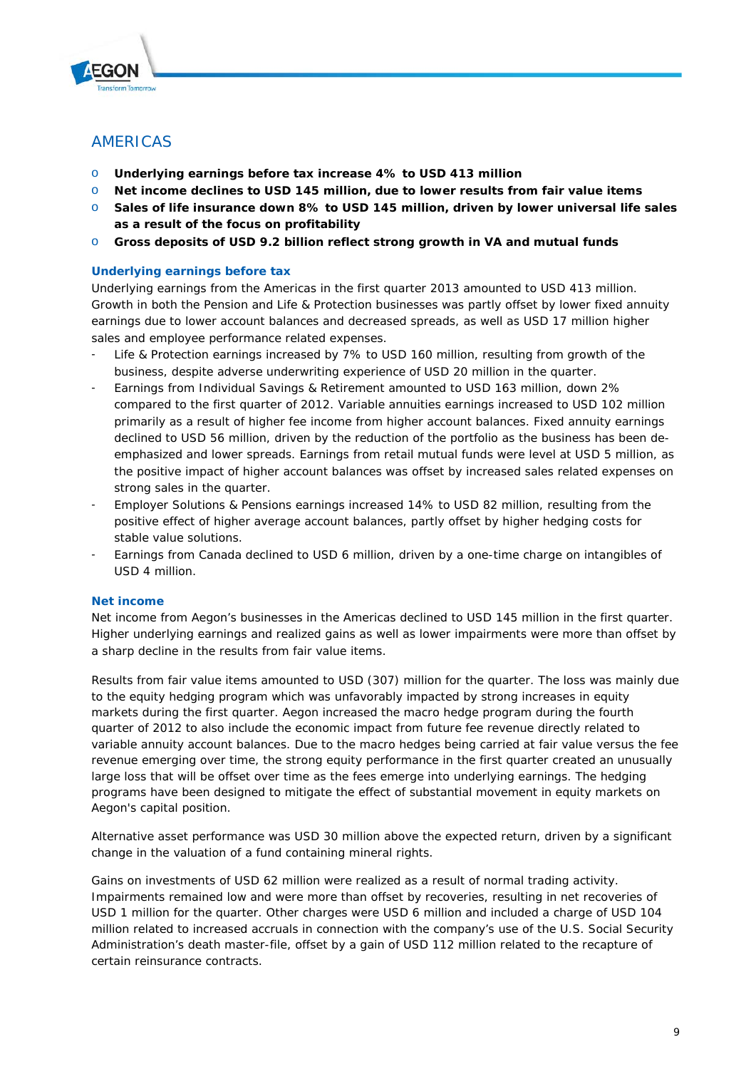

## AMERICAS

- o **Underlying earnings before tax increase 4% to USD 413 million**
- o **Net income declines to USD 145 million, due to lower results from fair value items**
- o **Sales of life insurance down 8% to USD 145 million, driven by lower universal life sales as a result of the focus on profitability**
- o **Gross deposits of USD 9.2 billion reflect strong growth in VA and mutual funds**

### **Underlying earnings before tax**

Underlying earnings from the Americas in the first quarter 2013 amounted to USD 413 million. Growth in both the Pension and Life & Protection businesses was partly offset by lower fixed annuity earnings due to lower account balances and decreased spreads, as well as USD 17 million higher sales and employee performance related expenses.

- Life & Protection earnings increased by 7% to USD 160 million, resulting from growth of the business, despite adverse underwriting experience of USD 20 million in the quarter.
- Earnings from Individual Savings & Retirement amounted to USD 163 million, down 2% compared to the first quarter of 2012. Variable annuities earnings increased to USD 102 million primarily as a result of higher fee income from higher account balances. Fixed annuity earnings declined to USD 56 million, driven by the reduction of the portfolio as the business has been deemphasized and lower spreads. Earnings from retail mutual funds were level at USD 5 million, as the positive impact of higher account balances was offset by increased sales related expenses on strong sales in the quarter.
- Employer Solutions & Pensions earnings increased 14% to USD 82 million, resulting from the positive effect of higher average account balances, partly offset by higher hedging costs for stable value solutions.
- Earnings from Canada declined to USD 6 million, driven by a one-time charge on intangibles of USD 4 million.

### **Net income**

Net income from Aegon's businesses in the Americas declined to USD 145 million in the first quarter. Higher underlying earnings and realized gains as well as lower impairments were more than offset by a sharp decline in the results from fair value items.

Results from fair value items amounted to USD (307) million for the quarter. The loss was mainly due to the equity hedging program which was unfavorably impacted by strong increases in equity markets during the first quarter. Aegon increased the macro hedge program during the fourth quarter of 2012 to also include the economic impact from future fee revenue directly related to variable annuity account balances. Due to the macro hedges being carried at fair value versus the fee revenue emerging over time, the strong equity performance in the first quarter created an unusually large loss that will be offset over time as the fees emerge into underlying earnings. The hedging programs have been designed to mitigate the effect of substantial movement in equity markets on Aegon's capital position.

Alternative asset performance was USD 30 million above the expected return, driven by a significant change in the valuation of a fund containing mineral rights.

Gains on investments of USD 62 million were realized as a result of normal trading activity. Impairments remained low and were more than offset by recoveries, resulting in net recoveries of USD 1 million for the quarter. Other charges were USD 6 million and included a charge of USD 104 million related to increased accruals in connection with the company's use of the U.S. Social Security Administration's death master-file, offset by a gain of USD 112 million related to the recapture of certain reinsurance contracts.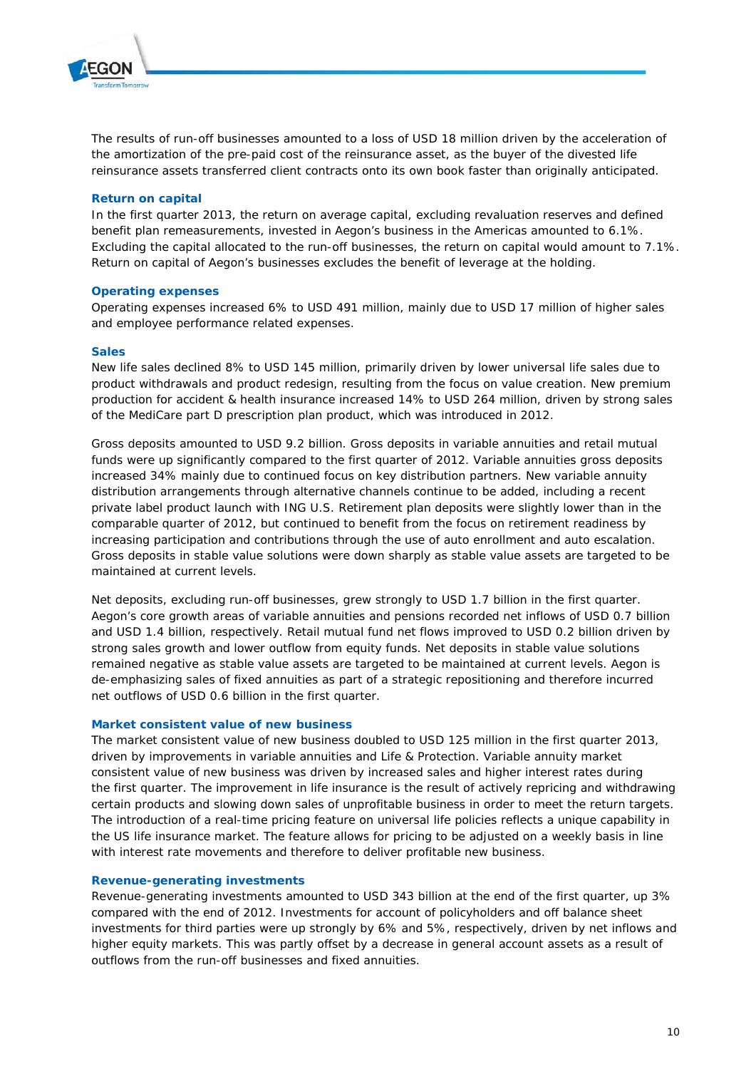

The results of run-off businesses amounted to a loss of USD 18 million driven by the acceleration of the amortization of the pre-paid cost of the reinsurance asset, as the buyer of the divested life reinsurance assets transferred client contracts onto its own book faster than originally anticipated.

### **Return on capital**

In the first quarter 2013, the return on average capital, excluding revaluation reserves and defined benefit plan remeasurements, invested in Aegon's business in the Americas amounted to 6.1%. Excluding the capital allocated to the run-off businesses, the return on capital would amount to 7.1%. Return on capital of Aegon's businesses excludes the benefit of leverage at the holding.

#### **Operating expenses**

Operating expenses increased 6% to USD 491 million, mainly due to USD 17 million of higher sales and employee performance related expenses.

#### **Sales**

New life sales declined 8% to USD 145 million, primarily driven by lower universal life sales due to product withdrawals and product redesign, resulting from the focus on value creation. New premium production for accident & health insurance increased 14% to USD 264 million, driven by strong sales of the MediCare part D prescription plan product, which was introduced in 2012.

Gross deposits amounted to USD 9.2 billion. Gross deposits in variable annuities and retail mutual funds were up significantly compared to the first quarter of 2012. Variable annuities gross deposits increased 34% mainly due to continued focus on key distribution partners. New variable annuity distribution arrangements through alternative channels continue to be added, including a recent private label product launch with ING U.S. Retirement plan deposits were slightly lower than in the comparable quarter of 2012, but continued to benefit from the focus on retirement readiness by increasing participation and contributions through the use of auto enrollment and auto escalation. Gross deposits in stable value solutions were down sharply as stable value assets are targeted to be maintained at current levels.

Net deposits, excluding run-off businesses, grew strongly to USD 1.7 billion in the first quarter. Aegon's core growth areas of variable annuities and pensions recorded net inflows of USD 0.7 billion and USD 1.4 billion, respectively. Retail mutual fund net flows improved to USD 0.2 billion driven by strong sales growth and lower outflow from equity funds. Net deposits in stable value solutions remained negative as stable value assets are targeted to be maintained at current levels. Aegon is de-emphasizing sales of fixed annuities as part of a strategic repositioning and therefore incurred net outflows of USD 0.6 billion in the first quarter.

#### **Market consistent value of new business**

The market consistent value of new business doubled to USD 125 million in the first quarter 2013, driven by improvements in variable annuities and Life & Protection. Variable annuity market consistent value of new business was driven by increased sales and higher interest rates during the first quarter. The improvement in life insurance is the result of actively repricing and withdrawing certain products and slowing down sales of unprofitable business in order to meet the return targets. The introduction of a real-time pricing feature on universal life policies reflects a unique capability in the US life insurance market. The feature allows for pricing to be adjusted on a weekly basis in line with interest rate movements and therefore to deliver profitable new business.

### **Revenue-generating investments**

Revenue-generating investments amounted to USD 343 billion at the end of the first quarter, up 3% compared with the end of 2012. Investments for account of policyholders and off balance sheet investments for third parties were up strongly by 6% and 5%, respectively, driven by net inflows and higher equity markets. This was partly offset by a decrease in general account assets as a result of outflows from the run-off businesses and fixed annuities.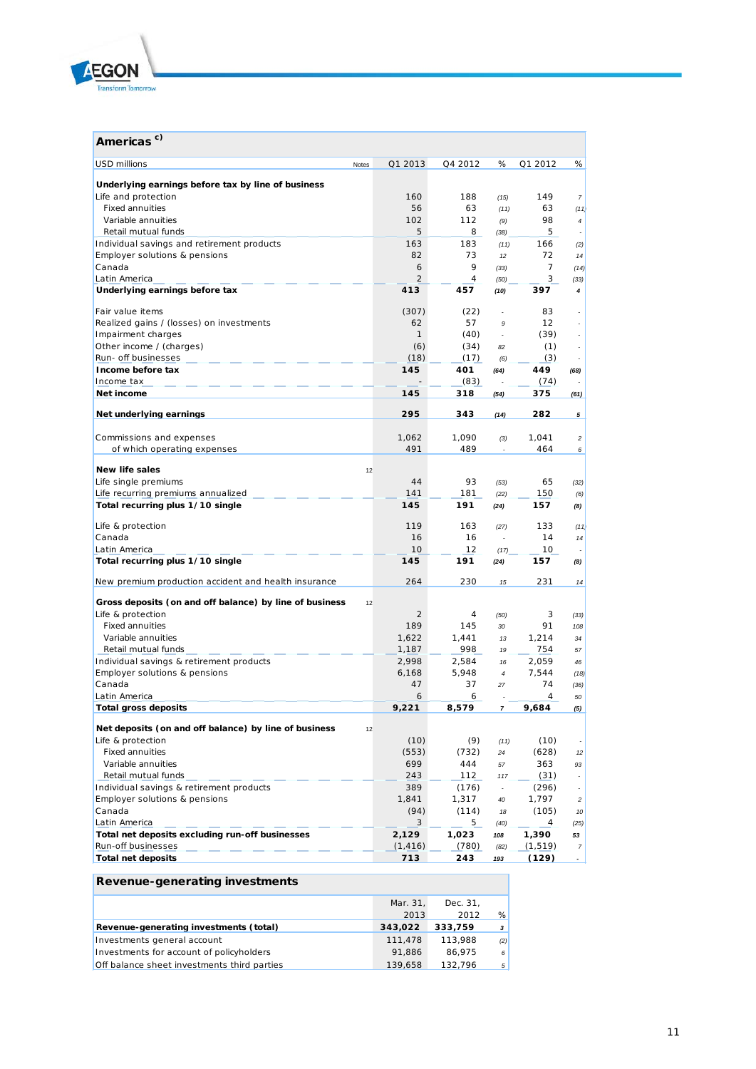

| Americas <sup>c)</sup>                                  |       |                |                |                  |          |                |
|---------------------------------------------------------|-------|----------------|----------------|------------------|----------|----------------|
| <b>USD millions</b>                                     | Notes | Q1 2013        | Q4 2012        | %                | Q1 2012  | %              |
| Underlying earnings before tax by line of business      |       |                |                |                  |          |                |
| Life and protection                                     |       | 160            | 188            | (15)             | 149      | 7              |
| <b>Fixed annuities</b>                                  |       | 56             | 63             | (11)             | 63       | (11)           |
| Variable annuities                                      |       | 102            | 112            | (9)              | 98       | $\overline{4}$ |
| Retail mutual funds                                     |       | 5              | 8              | (38)             | 5        |                |
| Individual savings and retirement products              |       | 163            | 183            | (11)             | 166      | (2)            |
| Employer solutions & pensions                           |       | 82             | 73             | 12               | 72       | 14             |
| Canada                                                  |       | 6              | 9              | (33)             | 7        | (14)           |
| Latin America                                           |       | $\overline{2}$ | $\overline{4}$ | (50)             | 3        | (33)           |
| Underlying earnings before tax                          |       | 413            | 457            | (10)             | 397      | 4              |
| Fair value items                                        |       | (307)          | (22)           |                  | 83       |                |
| Realized gains / (losses) on investments                |       | 62             | 57             | 9                | 12       |                |
| Impairment charges                                      |       | $\mathbf{1}$   | (40)           | $\overline{a}$   | (39)     |                |
| Other income / (charges)                                |       | (6)            | (34)           | 82               | (1)      |                |
| Run- off businesses                                     |       | (18)           | (17)           | (6)              | (3)      |                |
| Income before tax                                       |       | 145            | 401            | (64)             | 449      | (68)           |
| Income tax                                              |       |                | (83)           |                  | (74)     |                |
| Net income                                              |       | 145            | 318            | (54)             | 375      | (61)           |
| Net underlying earnings                                 |       | 295            | 343            | (14)             | 282      | 5              |
|                                                         |       |                |                |                  |          |                |
| Commissions and expenses                                |       | 1,062          | 1,090          | (3)              | 1,041    | 2              |
| of which operating expenses                             |       | 491            | 489            |                  | 464      | 6              |
| <b>New life sales</b>                                   | 12    |                |                |                  |          |                |
| Life single premiums                                    |       | 44             | 93             | (53)             | 65       | (32)           |
| Life recurring premiums annualized                      |       | 141            | 181            | (22)             | 150      | (6)            |
| Total recurring plus 1/10 single                        |       | 145            | 191            | (24)             | 157      | (8)            |
| Life & protection                                       |       | 119            | 163            | (27)             | 133      | (11)           |
| Canada                                                  |       | 16             | 16             |                  | 14       | 14             |
| Latin America                                           |       | 10             | 12             | (17)             | 10       |                |
| Total recurring plus 1/10 single                        |       | 145            | 191            | (24)             | 157      | (8)            |
| New premium production accident and health insurance    |       | 264            | 230            | 15               | 231      | 14             |
| Gross deposits (on and off balance) by line of business | 12    |                |                |                  |          |                |
| Life & protection                                       |       | 2              | 4              | (50)             | 3        | (33)           |
| <b>Fixed annuities</b>                                  |       | 189            | 145            | 30               | 91       | 108            |
| Variable annuities                                      |       | 1,622          | 1,441          | 13               | 1,214    | 34             |
| Retail mutual funds                                     |       | 1,187          | 998            | 19               | 754      | 57             |
| Individual savings & retirement products                |       | 2,998          | 2,584          | 16               | 2,059    | 46             |
| Employer solutions & pensions                           |       | 6,168          | 5,948          | $\boldsymbol{4}$ | 7,544    | (18)           |
| Canada                                                  |       | 47             | 37             | 27               | 74       | (36)           |
| Latin America                                           |       | 6              | 6              |                  | 4        | 50             |
| <b>Total gross deposits</b>                             |       | 9,221          | 8,579          | $\pmb{7}$        | 9,684    | (5)            |
| Net deposits (on and off balance) by line of business   | 12    |                |                |                  |          |                |
| Life & protection                                       |       | (10)           | (9)            | (11)             | (10)     |                |
| <b>Fixed annuities</b>                                  |       | (553)          | (732)          | 24               | (628)    | 12             |
| Variable annuities                                      |       | 699            | 444            | 57               | 363      | 93             |
| Retail mutual funds                                     |       | 243            | 112            | 117              | (31)     |                |
| Individual savings & retirement products                |       | 389            | (176)          | $\mathbb{Z}^+$   | (296)    |                |
| Employer solutions & pensions                           |       | 1,841          | 1,317          | 40               | 1,797    | $\overline{a}$ |
| Canada                                                  |       | (94)           | (114)          | 18               | (105)    | 10             |
| Latin America                                           |       | 3              | 5              | (40)             | 4        | (25)           |
| Total net deposits excluding run-off businesses         |       | 2,129          | 1,023          | 108              | 1,390    | 53             |
| Run-off businesses                                      |       | (1, 416)       | (780)          | (82)             | (1, 519) | $\overline{7}$ |
| <b>Total net deposits</b>                               |       | 713            | 243            | 193              | (129)    | $\blacksquare$ |

## **Revenue-generating investments**

|                                             | Mar. 31. | Dec. 31. |              |
|---------------------------------------------|----------|----------|--------------|
|                                             | 2013     | 2012     | %            |
| Revenue-generating investments (total)      | 343,022  | 333.759  | $\mathbf{3}$ |
| Investments general account                 | 111,478  | 113,988  | (2)          |
| Investments for account of policyholders    | 91.886   | 86.975   | 6            |
| Off balance sheet investments third parties | 139,658  | 132.796  | 5            |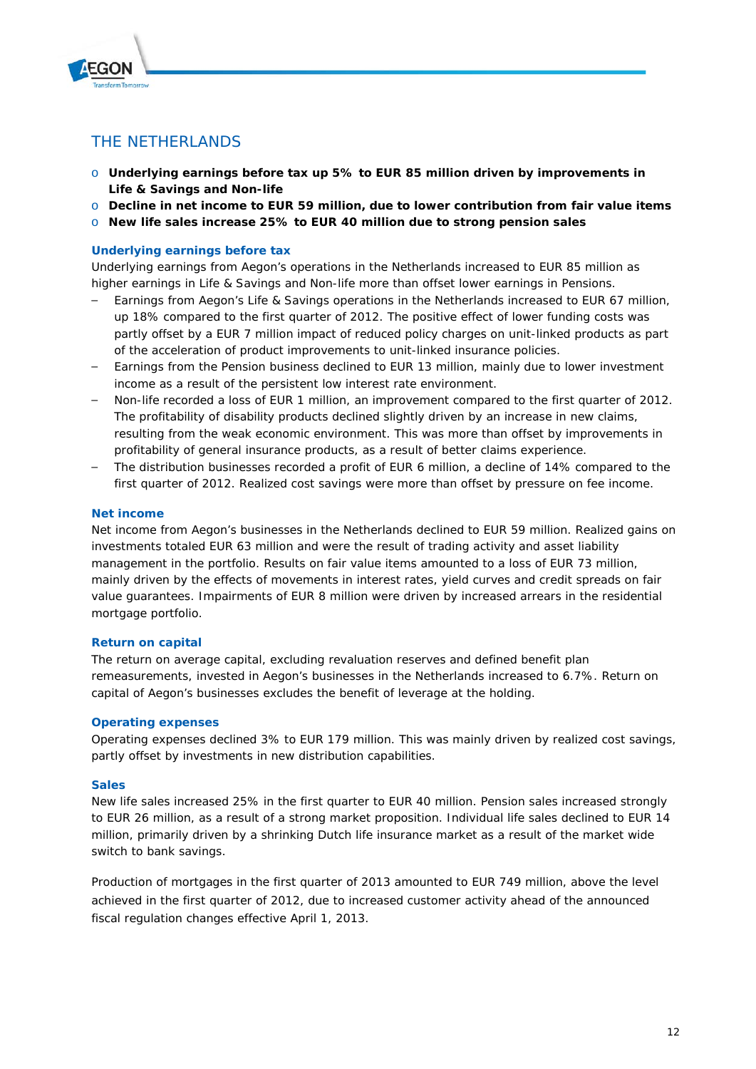

## THE NETHERLANDS

- o **Underlying earnings before tax up 5% to EUR 85 million driven by improvements in Life & Savings and Non-life**
- o **Decline in net income to EUR 59 million, due to lower contribution from fair value items**
- o **New life sales increase 25% to EUR 40 million due to strong pension sales**

## **Underlying earnings before tax**

Underlying earnings from Aegon's operations in the Netherlands increased to EUR 85 million as higher earnings in Life & Savings and Non-life more than offset lower earnings in Pensions.

- Earnings from Aegon's Life & Savings operations in the Netherlands increased to EUR 67 million, up 18% compared to the first quarter of 2012. The positive effect of lower funding costs was partly offset by a EUR 7 million impact of reduced policy charges on unit-linked products as part of the acceleration of product improvements to unit-linked insurance policies.
- Earnings from the Pension business declined to EUR 13 million, mainly due to lower investment income as a result of the persistent low interest rate environment.
- Non-life recorded a loss of EUR 1 million, an improvement compared to the first quarter of 2012. The profitability of disability products declined slightly driven by an increase in new claims, resulting from the weak economic environment. This was more than offset by improvements in profitability of general insurance products, as a result of better claims experience.
- The distribution businesses recorded a profit of EUR 6 million, a decline of 14% compared to the first quarter of 2012. Realized cost savings were more than offset by pressure on fee income.

### **Net income**

Net income from Aegon's businesses in the Netherlands declined to EUR 59 million. Realized gains on investments totaled EUR 63 million and were the result of trading activity and asset liability management in the portfolio. Results on fair value items amounted to a loss of EUR 73 million, mainly driven by the effects of movements in interest rates, yield curves and credit spreads on fair value guarantees. Impairments of EUR 8 million were driven by increased arrears in the residential mortgage portfolio.

### **Return on capital**

The return on average capital, excluding revaluation reserves and defined benefit plan remeasurements, invested in Aegon's businesses in the Netherlands increased to 6.7%. Return on capital of Aegon's businesses excludes the benefit of leverage at the holding.

### **Operating expenses**

Operating expenses declined 3% to EUR 179 million. This was mainly driven by realized cost savings, partly offset by investments in new distribution capabilities.

### **Sales**

New life sales increased 25% in the first quarter to EUR 40 million. Pension sales increased strongly to EUR 26 million, as a result of a strong market proposition. Individual life sales declined to EUR 14 million, primarily driven by a shrinking Dutch life insurance market as a result of the market wide switch to bank savings.

Production of mortgages in the first quarter of 2013 amounted to EUR 749 million, above the level achieved in the first quarter of 2012, due to increased customer activity ahead of the announced fiscal regulation changes effective April 1, 2013.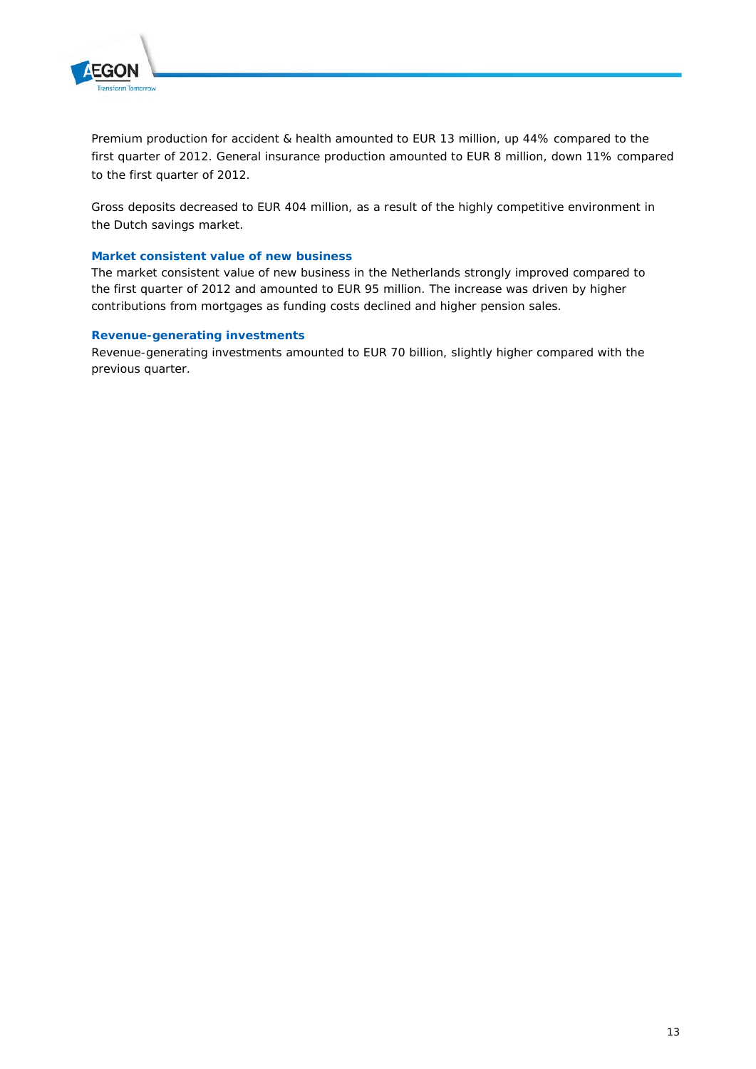

Premium production for accident & health amounted to EUR 13 million, up 44% compared to the first quarter of 2012. General insurance production amounted to EUR 8 million, down 11% compared to the first quarter of 2012.

Gross deposits decreased to EUR 404 million, as a result of the highly competitive environment in the Dutch savings market.

### **Market consistent value of new business**

The market consistent value of new business in the Netherlands strongly improved compared to the first quarter of 2012 and amounted to EUR 95 million. The increase was driven by higher contributions from mortgages as funding costs declined and higher pension sales.

### **Revenue-generating investments**

Revenue-generating investments amounted to EUR 70 billion, slightly higher compared with the previous quarter.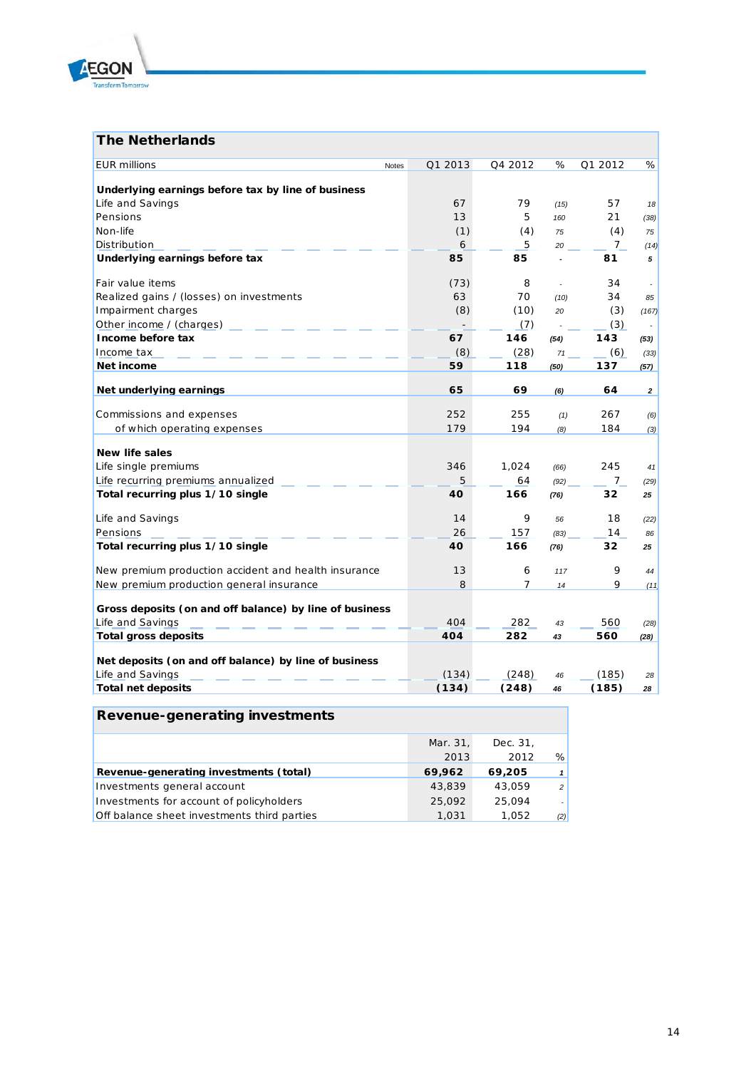

## **The Netherlands**

| <b>EUR</b> millions<br>Notes                                              | Q1 2013 | Q4 2012 | %    | Q1 2012     | %              |
|---------------------------------------------------------------------------|---------|---------|------|-------------|----------------|
| Underlying earnings before tax by line of business                        |         |         |      |             |                |
| Life and Savings                                                          | 67      | 79      | (15) | 57          | 18             |
| Pensions                                                                  | 13      | 5       | 160  | 21          | (38)           |
| Non-life                                                                  | (1)     | (4)     | 75   | (4)         | 75             |
| Distribution                                                              | 6       | 5       | 20   | 7           | (14)           |
| Underlying earnings before tax                                            | 85      | 85      |      | 81          | 5              |
| Fair value items                                                          | (73)    | 8       |      | 34          |                |
| Realized gains / (losses) on investments                                  | 63      | 70      | (10) | 34          | 85             |
| Impairment charges                                                        | (8)     | (10)    | 20   | (3)         | (167)          |
| Other income / (charges)                                                  |         | (7)     |      | (3)         |                |
| Income before tax                                                         | 67      | 146     | (54) | 143         | (53)           |
| Income tax                                                                | (8)     | (28)    | 71   | (6)         | (33)           |
| Net income                                                                | 59      | 118     | (50) | 137         | (57)           |
|                                                                           |         |         |      |             |                |
| Net underlying earnings                                                   | 65      | 69      | (6)  | 64          | $\overline{2}$ |
| Commissions and expenses                                                  | 252     | 255     | (1)  | 267         | (6)            |
| of which operating expenses                                               | 179     | 194     | (8)  | 184         | (3)            |
|                                                                           |         |         |      |             |                |
| <b>New life sales</b>                                                     |         |         |      |             |                |
| Life single premiums                                                      | 346     | 1,024   | (66) | 245         | 41             |
| Life recurring premiums annualized                                        | 5       | 64      | (92) | $7^{\circ}$ | (29)           |
| Total recurring plus 1/10 single                                          | 40      | 166     | (76) | 32          | 25             |
| Life and Savings                                                          | 14      | 9       | 56   | 18          | (22)           |
| Pensions                                                                  | 26      | 157     | (83) | 14          | 86             |
| Total recurring plus 1/10 single                                          | 40      | 166     | (76) | 32          | 25             |
| New premium production accident and health insurance                      | 13      | 6       | 117  | 9           | 44             |
| New premium production general insurance                                  | 8       | 7       | 14   | 9           | (11)           |
| Gross deposits (on and off balance) by line of business                   |         |         |      |             |                |
| Life and Savings                                                          | 404     | 282     | 43   | 560         | (28)           |
| <b>Total gross deposits</b>                                               | 404     | 282     | 43   | 560         | (28)           |
|                                                                           |         |         |      |             |                |
| Net deposits (on and off balance) by line of business<br>Life and Savings | (134)   | (248)   |      |             |                |
|                                                                           |         |         | 46   | (185)       | 28             |
| <b>Total net deposits</b>                                                 | (134)   | (248)   | 46   | (185)       | 28             |

## **Revenue-generating investments**

|                                             | Mar. 31, | Dec. 31. |                |
|---------------------------------------------|----------|----------|----------------|
|                                             | 2013     | 2012     | %              |
| Revenue-generating investments (total)      | 69,962   | 69.205   |                |
| Investments general account                 | 43,839   | 43,059   | 2 <sup>1</sup> |
| Investments for account of policyholders    | 25,092   | 25,094   |                |
| Off balance sheet investments third parties | 1,031    | 1.052    | (2)            |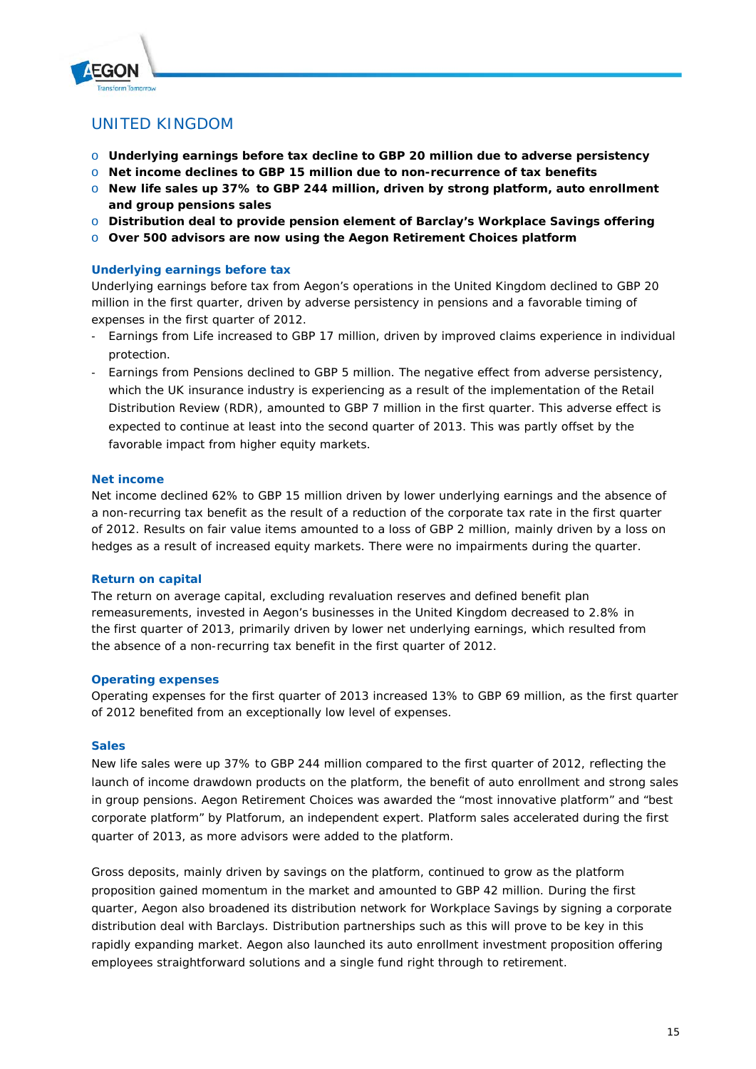

## UNITED KINGDOM

- o **Underlying earnings before tax decline to GBP 20 million due to adverse persistency**
- o **Net income declines to GBP 15 million due to non-recurrence of tax benefits**
- o **New life sales up 37% to GBP 244 million, driven by strong platform, auto enrollment and group pensions sales**
- o **Distribution deal to provide pension element of Barclay's Workplace Savings offering**
- o **Over 500 advisors are now using the Aegon Retirement Choices platform**

### **Underlying earnings before tax**

Underlying earnings before tax from Aegon's operations in the United Kingdom declined to GBP 20 million in the first quarter, driven by adverse persistency in pensions and a favorable timing of expenses in the first quarter of 2012.

- Earnings from Life increased to GBP 17 million, driven by improved claims experience in individual protection.
- Earnings from Pensions declined to GBP 5 million. The negative effect from adverse persistency, which the UK insurance industry is experiencing as a result of the implementation of the Retail Distribution Review (RDR), amounted to GBP 7 million in the first quarter. This adverse effect is expected to continue at least into the second quarter of 2013. This was partly offset by the favorable impact from higher equity markets.

### **Net income**

Net income declined 62% to GBP 15 million driven by lower underlying earnings and the absence of a non-recurring tax benefit as the result of a reduction of the corporate tax rate in the first quarter of 2012. Results on fair value items amounted to a loss of GBP 2 million, mainly driven by a loss on hedges as a result of increased equity markets. There were no impairments during the quarter.

### **Return on capital**

The return on average capital, excluding revaluation reserves and defined benefit plan remeasurements, invested in Aegon's businesses in the United Kingdom decreased to 2.8% in the first quarter of 2013, primarily driven by lower net underlying earnings, which resulted from the absence of a non-recurring tax benefit in the first quarter of 2012.

### **Operating expenses**

Operating expenses for the first quarter of 2013 increased 13% to GBP 69 million, as the first quarter of 2012 benefited from an exceptionally low level of expenses.

### **Sales**

New life sales were up 37% to GBP 244 million compared to the first quarter of 2012, reflecting the launch of income drawdown products on the platform, the benefit of auto enrollment and strong sales in group pensions. Aegon Retirement Choices was awarded the "most innovative platform" and "best corporate platform" by Platforum, an independent expert. Platform sales accelerated during the first quarter of 2013, as more advisors were added to the platform.

Gross deposits, mainly driven by savings on the platform, continued to grow as the platform proposition gained momentum in the market and amounted to GBP 42 million. During the first quarter, Aegon also broadened its distribution network for Workplace Savings by signing a corporate distribution deal with Barclays. Distribution partnerships such as this will prove to be key in this rapidly expanding market. Aegon also launched its auto enrollment investment proposition offering employees straightforward solutions and a single fund right through to retirement.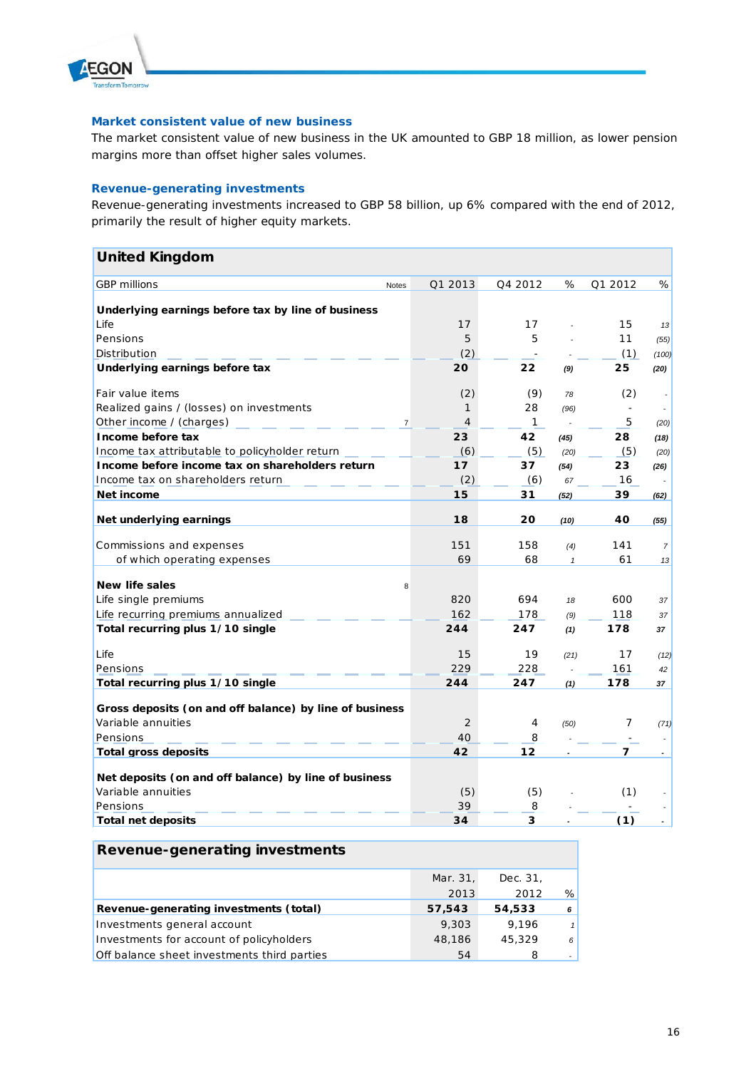

#### **Market consistent value of new business**

The market consistent value of new business in the UK amounted to GBP 18 million, as lower pension margins more than offset higher sales volumes.

### **Revenue-generating investments**

Revenue-generating investments increased to GBP 58 billion, up 6% compared with the end of 2012, primarily the result of higher equity markets.

| <b>United Kingdom</b>                                   |                |                |              |                          |                          |                |
|---------------------------------------------------------|----------------|----------------|--------------|--------------------------|--------------------------|----------------|
| <b>GBP</b> millions                                     | <b>Notes</b>   | Q1 2013        | Q4 2012      | %                        | Q1 2012                  | %              |
| Underlying earnings before tax by line of business      |                |                |              |                          |                          |                |
| Life                                                    |                | 17             | 17           |                          | 15                       | 13             |
| Pensions                                                |                | 5              | 5            |                          | 11                       | (55)           |
| Distribution                                            |                | (2)            |              |                          | (1)                      | (100)          |
| Underlying earnings before tax                          |                | 20             | 22           | (9)                      | 25                       | (20)           |
| Fair value items                                        |                | (2)            | (9)          | 78                       | (2)                      |                |
| Realized gains / (losses) on investments                |                | 1              | 28           | (96)                     | $\overline{\phantom{a}}$ |                |
| Other income / (charges)                                | $\overline{7}$ | $\overline{4}$ | $\mathbf{1}$ | $\overline{\phantom{a}}$ | 5                        | (20)           |
| Income before tax                                       |                | 23             | 42           | (45)                     | 28                       | (18)           |
| Income tax attributable to policyholder return          |                | (6)            | (5)          | (20)                     | (5)                      | (20)           |
| Income before income tax on shareholders return         |                | 17             | 37           | (54)                     | 23                       | (26)           |
| Income tax on shareholders return                       |                | (2)            | (6)          | 67                       | 16                       |                |
| Net income                                              |                | 15             | 31           | (52)                     | 39                       | (62)           |
| Net underlying earnings                                 |                | 18             | 20           | (10)                     | 40                       | (55)           |
|                                                         |                |                |              |                          |                          |                |
| Commissions and expenses                                |                | 151            | 158          | (4)                      | 141                      | $\overline{7}$ |
| of which operating expenses                             |                | 69             | 68           | $\mathbf{1}$             | 61                       | 13             |
| <b>New life sales</b>                                   | 8              |                |              |                          |                          |                |
| Life single premiums                                    |                | 820            | 694          | 18                       | 600                      | 37             |
| Life recurring premiums annualized                      |                | 162            | 178          | (9)                      | 118                      | 37             |
| Total recurring plus 1/10 single                        |                | 244            | 247          | (1)                      | 178                      | 37             |
| Life                                                    |                | 15             | 19           | (21)                     | 17                       | (12)           |
| Pensions                                                |                | 229            | 228          |                          | 161                      | 42             |
| Total recurring plus 1/10 single                        |                | 244            | 247          | (1)                      | 178                      | 37             |
| Gross deposits (on and off balance) by line of business |                |                |              |                          |                          |                |
| Variable annuities                                      |                | 2              | 4            | (50)                     | 7                        | (71)           |
| Pensions                                                |                | 40             | 8            |                          | $\blacksquare$           |                |
| <b>Total gross deposits</b>                             |                | 42             | 12           |                          | $\overline{7}$           |                |
| Net deposits (on and off balance) by line of business   |                |                |              |                          |                          |                |
| Variable annuities                                      |                | (5)            | (5)          |                          | (1)                      |                |
| Pensions                                                |                | 39             | 8            |                          |                          |                |
| <b>Total net deposits</b>                               |                | 34             | 3            |                          | (1)                      |                |
|                                                         |                |                |              |                          |                          |                |

| Revenue-generating investments              |          |          |              |
|---------------------------------------------|----------|----------|--------------|
|                                             | Mar. 31, | Dec. 31. |              |
|                                             | 2013     | 2012     | %            |
| Revenue-generating investments (total)      | 57,543   | 54,533   | 6            |
| Investments general account                 | 9.303    | 9.196    | $\mathbf{1}$ |
| Investments for account of policyholders    | 48,186   | 45,329   | 6            |
| Off balance sheet investments third parties | 54       | 8        |              |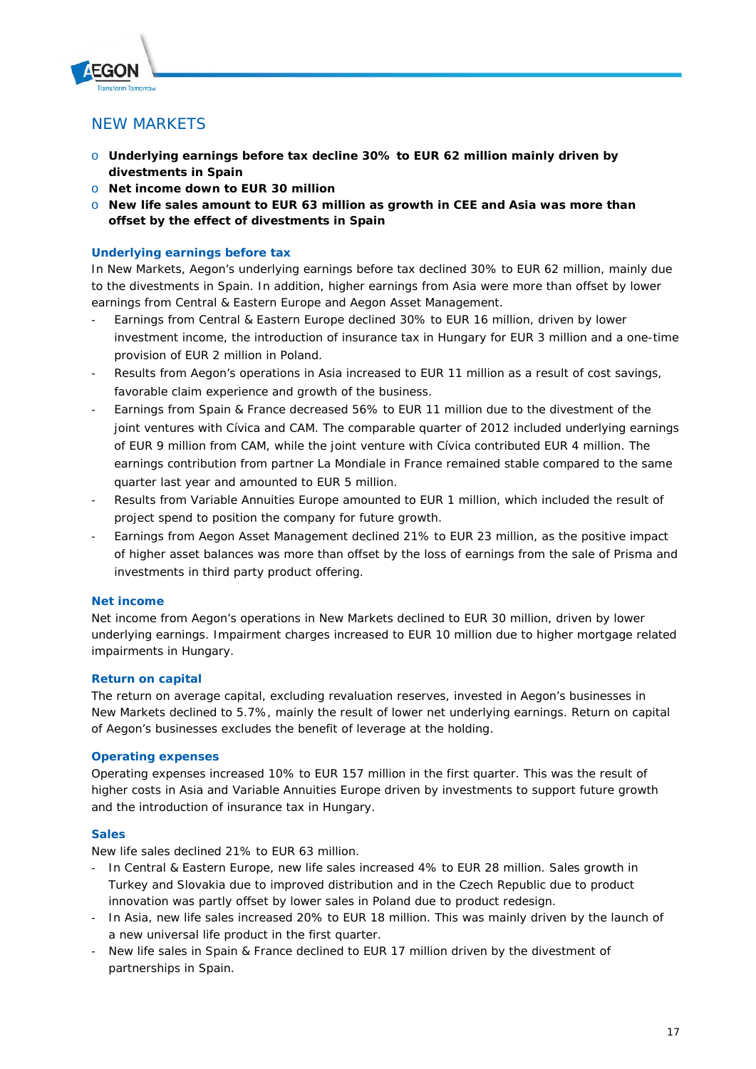## NEW MARKETS

- o **Underlying earnings before tax decline 30% to EUR 62 million mainly driven by divestments in Spain**
- o **Net income down to EUR 30 million**
- o **New life sales amount to EUR 63 million as growth in CEE and Asia was more than offset by the effect of divestments in Spain**

## **Underlying earnings before tax**

In New Markets, Aegon's underlying earnings before tax declined 30% to EUR 62 million, mainly due to the divestments in Spain. In addition, higher earnings from Asia were more than offset by lower earnings from Central & Eastern Europe and Aegon Asset Management.

- Earnings from Central & Eastern Europe declined 30% to EUR 16 million, driven by lower investment income, the introduction of insurance tax in Hungary for EUR 3 million and a one-time provision of EUR 2 million in Poland.
- Results from Aegon's operations in Asia increased to EUR 11 million as a result of cost savings, favorable claim experience and growth of the business.
- Earnings from Spain & France decreased 56% to EUR 11 million due to the divestment of the joint ventures with Cívica and CAM. The comparable quarter of 2012 included underlying earnings of EUR 9 million from CAM, while the joint venture with Cívica contributed EUR 4 million. The earnings contribution from partner La Mondiale in France remained stable compared to the same quarter last year and amounted to EUR 5 million.
- Results from Variable Annuities Europe amounted to EUR 1 million, which included the result of project spend to position the company for future growth.
- Earnings from Aegon Asset Management declined 21% to EUR 23 million, as the positive impact of higher asset balances was more than offset by the loss of earnings from the sale of Prisma and investments in third party product offering.

### **Net income**

Net income from Aegon's operations in New Markets declined to EUR 30 million, driven by lower underlying earnings. Impairment charges increased to EUR 10 million due to higher mortgage related impairments in Hungary.

## **Return on capital**

The return on average capital, excluding revaluation reserves, invested in Aegon's businesses in New Markets declined to 5.7%, mainly the result of lower net underlying earnings. Return on capital of Aegon's businesses excludes the benefit of leverage at the holding.

### **Operating expenses**

Operating expenses increased 10% to EUR 157 million in the first quarter. This was the result of higher costs in Asia and Variable Annuities Europe driven by investments to support future growth and the introduction of insurance tax in Hungary.

### **Sales**

New life sales declined 21% to EUR 63 million.

- In Central & Eastern Europe, new life sales increased 4% to EUR 28 million. Sales growth in Turkey and Slovakia due to improved distribution and in the Czech Republic due to product innovation was partly offset by lower sales in Poland due to product redesign.
- In Asia, new life sales increased 20% to EUR 18 million. This was mainly driven by the launch of a new universal life product in the first quarter.
- New life sales in Spain & France declined to EUR 17 million driven by the divestment of partnerships in Spain.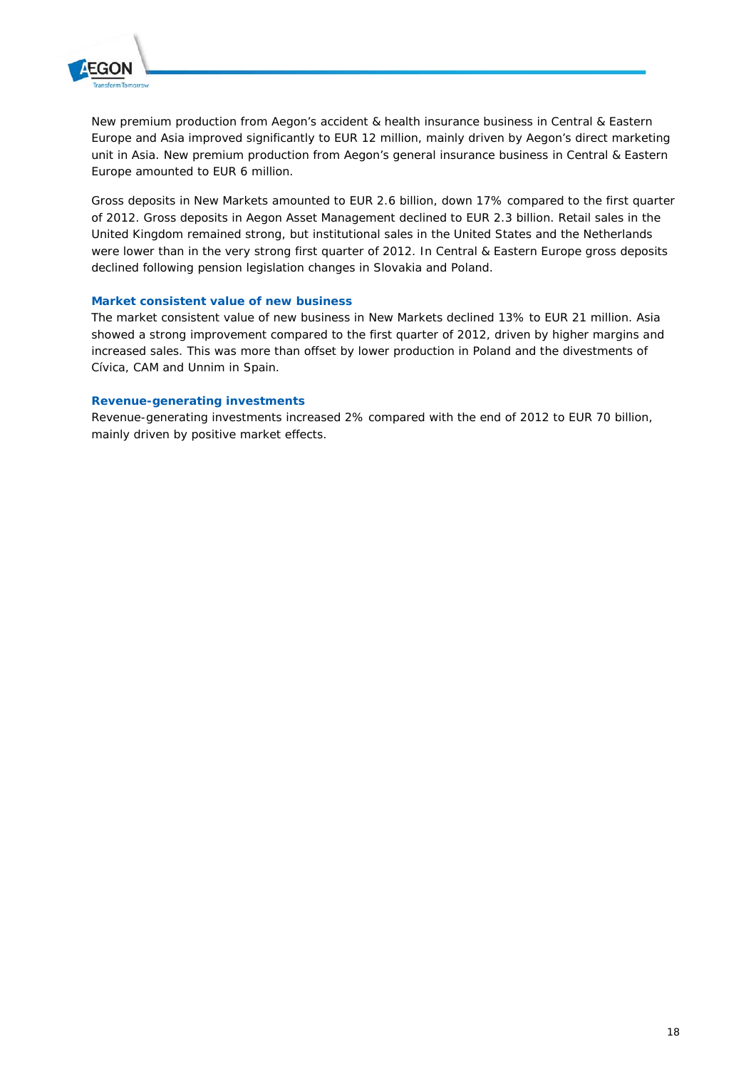

New premium production from Aegon's accident & health insurance business in Central & Eastern Europe and Asia improved significantly to EUR 12 million, mainly driven by Aegon's direct marketing unit in Asia. New premium production from Aegon's general insurance business in Central & Eastern Europe amounted to EUR 6 million.

Gross deposits in New Markets amounted to EUR 2.6 billion, down 17% compared to the first quarter of 2012. Gross deposits in Aegon Asset Management declined to EUR 2.3 billion. Retail sales in the United Kingdom remained strong, but institutional sales in the United States and the Netherlands were lower than in the very strong first quarter of 2012. In Central & Eastern Europe gross deposits declined following pension legislation changes in Slovakia and Poland.

### **Market consistent value of new business**

The market consistent value of new business in New Markets declined 13% to EUR 21 million. Asia showed a strong improvement compared to the first quarter of 2012, driven by higher margins and increased sales. This was more than offset by lower production in Poland and the divestments of Cívica, CAM and Unnim in Spain.

#### **Revenue-generating investments**

Revenue-generating investments increased 2% compared with the end of 2012 to EUR 70 billion, mainly driven by positive market effects.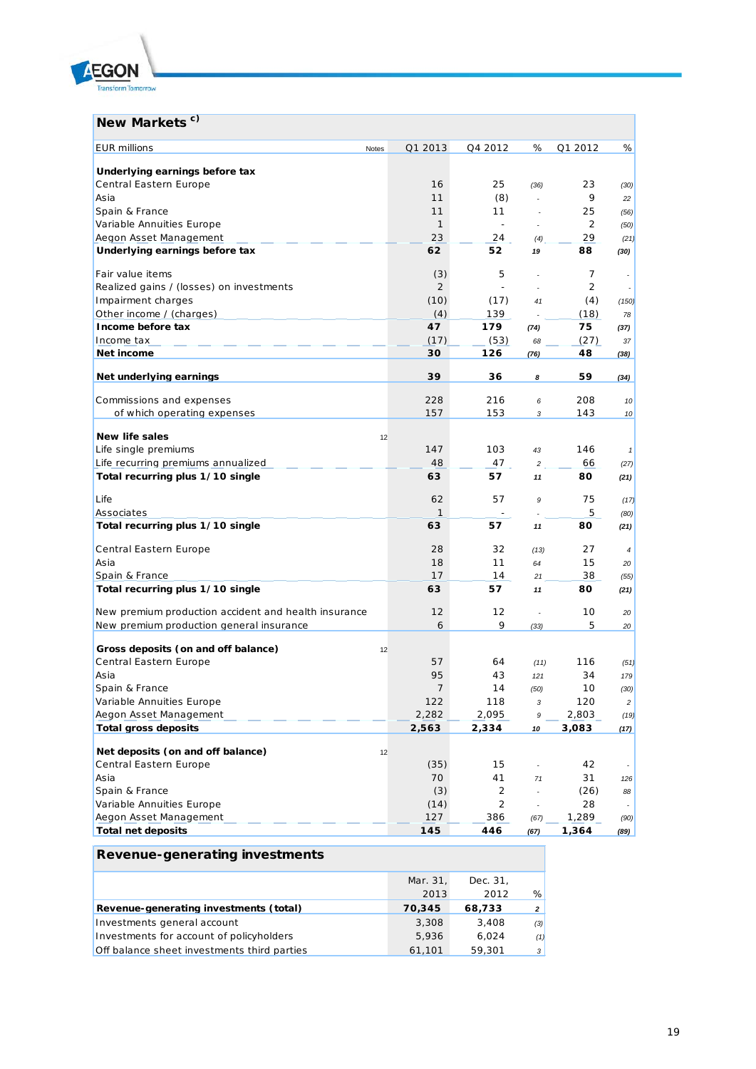

# **New Markets<sup>c)</sup>**

| Q1 2013                 | Q4 2012                                                                                                   | %                                                                     | Q1 2012                                                           | %                                                                           |
|-------------------------|-----------------------------------------------------------------------------------------------------------|-----------------------------------------------------------------------|-------------------------------------------------------------------|-----------------------------------------------------------------------------|
|                         |                                                                                                           |                                                                       |                                                                   |                                                                             |
| 16                      | 25                                                                                                        | (36)                                                                  | 23                                                                | (30)                                                                        |
| 11                      | (8)                                                                                                       | ×.                                                                    | 9                                                                 | 22                                                                          |
| 11                      | 11                                                                                                        | ä,                                                                    | 25                                                                | (56)                                                                        |
| $\mathbf{1}$            | ÷                                                                                                         | ä,                                                                    | 2                                                                 | (50)                                                                        |
| 23                      | 24                                                                                                        | (4)                                                                   | 29                                                                | (21)                                                                        |
| 62                      | 52                                                                                                        | 19                                                                    | 88                                                                | (30)                                                                        |
| (3)                     | 5                                                                                                         | ä,                                                                    | 7                                                                 |                                                                             |
| $\overline{2}$          |                                                                                                           |                                                                       | 2                                                                 |                                                                             |
| (10)                    | (17)                                                                                                      | 41                                                                    | (4)                                                               | (150)                                                                       |
| (4)                     | 139                                                                                                       |                                                                       | (18)                                                              | 78                                                                          |
| 47                      | 179                                                                                                       | (74)                                                                  | 75                                                                | (37)                                                                        |
| (17)                    | (53)                                                                                                      | 68                                                                    | (27)                                                              | 37                                                                          |
| 30                      | 126                                                                                                       | (76)                                                                  | 48                                                                | (38)                                                                        |
| 39                      | 36                                                                                                        | 8                                                                     | 59                                                                | (34)                                                                        |
|                         |                                                                                                           |                                                                       |                                                                   | 10                                                                          |
|                         |                                                                                                           | 3                                                                     |                                                                   | 10                                                                          |
|                         |                                                                                                           |                                                                       |                                                                   |                                                                             |
|                         |                                                                                                           |                                                                       |                                                                   |                                                                             |
|                         |                                                                                                           |                                                                       |                                                                   | $\overline{1}$                                                              |
|                         |                                                                                                           |                                                                       |                                                                   | (27)                                                                        |
|                         |                                                                                                           |                                                                       |                                                                   | (21)                                                                        |
| 62                      | 57                                                                                                        | 9                                                                     | 75                                                                | (17)                                                                        |
|                         |                                                                                                           |                                                                       |                                                                   | (80)                                                                        |
|                         |                                                                                                           |                                                                       |                                                                   | (21)                                                                        |
| 28                      | 32                                                                                                        | (13)                                                                  | 27                                                                | $\overline{4}$                                                              |
| 18                      | 11                                                                                                        | 64                                                                    | 15                                                                | 20                                                                          |
| 17                      | 14                                                                                                        | 21                                                                    | 38                                                                | (55)                                                                        |
| 63                      | 57                                                                                                        | 11                                                                    | 80                                                                | (21)                                                                        |
| 12                      | 12                                                                                                        | ÷.                                                                    | 10                                                                | 20                                                                          |
| 6                       | 9                                                                                                         | (33)                                                                  | 5                                                                 | 20                                                                          |
|                         |                                                                                                           |                                                                       |                                                                   |                                                                             |
|                         |                                                                                                           |                                                                       |                                                                   | (51)                                                                        |
|                         |                                                                                                           |                                                                       |                                                                   | 179                                                                         |
|                         |                                                                                                           |                                                                       |                                                                   | (30)                                                                        |
|                         |                                                                                                           |                                                                       |                                                                   | $\overline{c}$                                                              |
|                         |                                                                                                           | 9                                                                     |                                                                   | (19)                                                                        |
| 2,563                   | 2,334                                                                                                     | 10                                                                    | 3,083                                                             | (17)                                                                        |
|                         |                                                                                                           |                                                                       |                                                                   |                                                                             |
|                         | 15                                                                                                        | $\overline{\phantom{a}}$                                              | 42                                                                |                                                                             |
| 70                      | 41                                                                                                        | 71                                                                    | 31                                                                | 126                                                                         |
| (3)                     | 2                                                                                                         | ä,                                                                    | (26)                                                              | 88                                                                          |
| (14)                    | 2                                                                                                         |                                                                       | 28                                                                |                                                                             |
| 127                     | 386                                                                                                       | (67)                                                                  | 1,289                                                             | (90)                                                                        |
|                         |                                                                                                           |                                                                       |                                                                   |                                                                             |
| Notes<br>12<br>12<br>12 | 228<br>157<br>147<br>48<br>63<br>$\mathbf{1}$<br>63<br>57<br>95<br>$\overline{7}$<br>122<br>2,282<br>(35) | 216<br>153<br>103<br>47<br>57<br>57<br>64<br>43<br>14<br>118<br>2,095 | 6<br>43<br>$\overline{c}$<br>11<br>11<br>(11)<br>121<br>(50)<br>3 | 208<br>143<br>146<br>66<br>80<br>5<br>80<br>116<br>34<br>10<br>120<br>2,803 |

| Revenue-generating investments              |          |          |                |
|---------------------------------------------|----------|----------|----------------|
|                                             | Mar. 31, | Dec. 31. |                |
|                                             | 2013     | 2012     | %              |
| Revenue-generating investments (total)      | 70.345   | 68,733   | $\overline{a}$ |
| Investments general account                 | 3,308    | 3.408    | (3)            |
| Investments for account of policyholders    | 5,936    | 6.024    | (1)            |
| Off balance sheet investments third parties | 61,101   | 59,301   | 3              |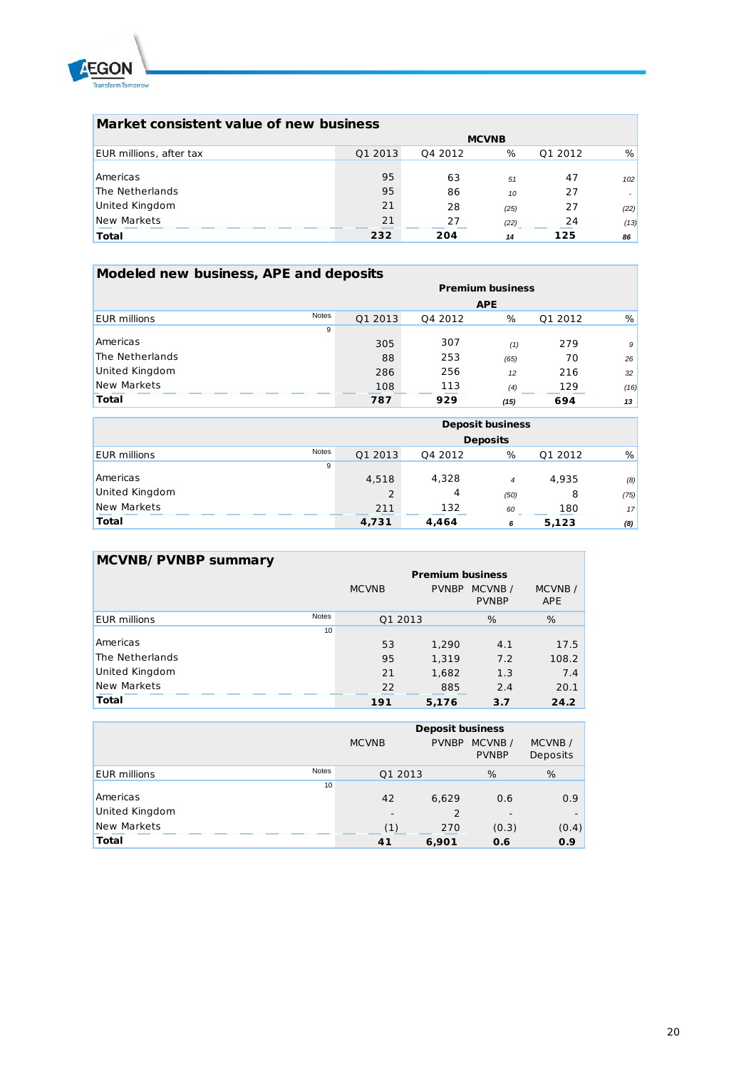

| Market consistent value of new business |         |         |              |         |      |  |
|-----------------------------------------|---------|---------|--------------|---------|------|--|
|                                         |         |         | <b>MCVNB</b> |         |      |  |
| EUR millions, after tax                 | Q1 2013 | 04 2012 | %            | Q1 2012 | %    |  |
|                                         |         |         |              |         |      |  |
| Americas                                | 95      | 63      | 51           | 47      | 102  |  |
| The Netherlands                         | 95      | 86      | 10           | 27      |      |  |
| <b>United Kingdom</b>                   | 21      | 28      | (25)         | 27      | (22) |  |
| New Markets                             | 21      | 27      | (22)         | 24      | (13) |  |
| <b>Total</b>                            | 232     | 204     | 14           | 125     | 86   |  |

| Modeled new business, APE and deposits |              |                         |         |            |         |      |  |
|----------------------------------------|--------------|-------------------------|---------|------------|---------|------|--|
|                                        |              | <b>Premium business</b> |         |            |         |      |  |
|                                        |              |                         |         | <b>APE</b> |         |      |  |
| <b>EUR</b> millions                    | <b>Notes</b> | Q1 2013                 | Q4 2012 | %          | Q1 2012 | %    |  |
|                                        | 9            |                         |         |            |         |      |  |
| Americas                               |              | 305                     | 307     | (1)        | 279     | 9    |  |
| The Netherlands                        |              | 88                      | 253     | (65)       | 70      | 26   |  |
| United Kingdom                         |              | 286                     | 256     | 12         | 216     | 32   |  |
| New Markets                            |              | 108                     | 113     | (4)        | 129     | (16) |  |
| <b>Total</b>                           |              | 787                     | 929     | (15)       | 694     | 13   |  |

|                     |       | <b>Deposit business</b> |         |                |         |      |
|---------------------|-------|-------------------------|---------|----------------|---------|------|
|                     |       | <b>Deposits</b>         |         |                |         |      |
| <b>EUR</b> millions | Notes | Q1 2013                 | Q4 2012 | %              | Q1 2012 | %    |
|                     | 9     |                         |         |                |         |      |
| Americas            |       | 4,518                   | 4,328   | $\overline{4}$ | 4,935   | (8)  |
| United Kingdom      |       | $\overline{2}$          | 4       | (50)           | 8       | (75) |
| New Markets         |       | 211                     | 132     | 60             | 180     | 17   |
| <b>Total</b>        |       | 4,731                   | 4,464   | 6              | 5,123   | (8)  |

| MCVNB/PVNBP summary |              |                         |              |                         |                      |  |
|---------------------|--------------|-------------------------|--------------|-------------------------|----------------------|--|
|                     |              | <b>Premium business</b> |              |                         |                      |  |
|                     |              | <b>MCVNB</b>            | <b>PVNBP</b> | MCVNB /<br><b>PVNBP</b> | MCVNB/<br><b>APE</b> |  |
| <b>EUR</b> millions | <b>Notes</b> | Q1 2013                 |              | %                       | %                    |  |
|                     | 10           |                         |              |                         |                      |  |
| Americas            |              | 53                      | 1,290        | 4.1                     | 17.5                 |  |
| The Netherlands     |              | 95                      | 1.319        | 7.2                     | 108.2                |  |
| United Kingdom      |              | 21                      | 1,682        | 1.3                     | 7.4                  |  |
| New Markets         |              | 22                      | 885          | 2.4                     | 20.1                 |  |
| <b>Total</b>        |              | 191                     | 5,176        | 3.7                     | 24.2                 |  |

|                                     | <b>Deposit business</b>  |              |                        |                    |  |
|-------------------------------------|--------------------------|--------------|------------------------|--------------------|--|
|                                     | <b>MCVNB</b>             | <b>PVNBP</b> | MCVNB/<br><b>PVNBP</b> | MCVNB/<br>Deposits |  |
| <b>Notes</b><br><b>EUR</b> millions | Q1 2013                  |              | %                      | %                  |  |
| 10                                  |                          |              |                        |                    |  |
| Americas                            | 42                       | 6.629        | 0.6                    | 0.9                |  |
| United Kingdom                      | $\overline{\phantom{a}}$ | 2            | -                      |                    |  |
| New Markets                         | (1)                      | 270          | (0.3)                  | (0.4)              |  |
| <b>Total</b>                        | 41                       | 6,901        | 0.6                    | 0.9                |  |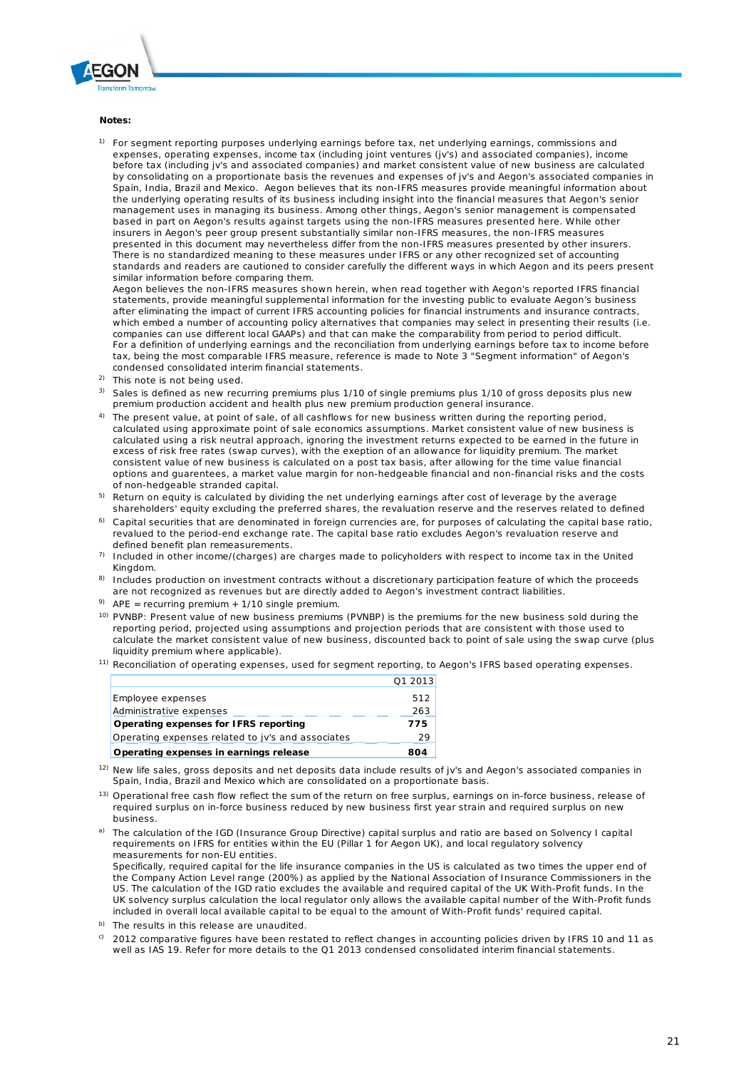

#### **Notes:**

1) For segment reporting purposes underlying earnings before tax, net underlying earnings, commissions and expenses, operating expenses, income tax (including joint ventures (jv's) and associated companies), income before tax (including jv's and associated companies) and market consistent value of new business are calculated by consolidating on a proportionate basis the revenues and expenses of jv's and Aegon's associated companies in Spain, India, Brazil and Mexico. Aegon believes that its non-IFRS measures provide meaningful information about the underlying operating results of its business including insight into the financial measures that Aegon's senior management uses in managing its business. Among other things, Aegon's senior management is compensated based in part on Aegon's results against targets using the non-IFRS measures presented here. While other insurers in Aegon's peer group present substantially similar non-IFRS measures, the non-IFRS measures presented in this document may nevertheless differ from the non-IFRS measures presented by other insurers. There is no standardized meaning to these measures under IFRS or any other recognized set of accounting standards and readers are cautioned to consider carefully the different ways in which Aegon and its peers present similar information before comparing them.

Aegon believes the non-IFRS measures shown herein, when read together with Aegon's reported IFRS financial statements, provide meaningful supplemental information for the investing public to evaluate Aegon's business after eliminating the impact of current IFRS accounting policies for financial instruments and insurance contracts, which embed a number of accounting policy alternatives that companies may select in presenting their results (i.e. companies can use different local GAAPs) and that can make the comparability from period to period difficult. For a definition of underlying earnings and the reconciliation from underlying earnings before tax to income before tax, being the most comparable IFRS measure, reference is made to Note 3 "Segment information" of Aegon's condensed consolidated interim financial statements.

- <sup>2)</sup> This note is not being used.
- 3) Sales is defined as new recurring premiums plus 1/10 of single premiums plus 1/10 of gross deposits plus new premium production accident and health plus new premium production general insurance.
- <sup>4)</sup> The present value, at point of sale, of all cashflows for new business written during the reporting period, calculated using approximate point of sale economics assumptions. Market consistent value of new business is calculated using a risk neutral approach, ignoring the investment returns expected to be earned in the future in excess of risk free rates (swap curves), with the exeption of an allowance for liquidity premium. The market consistent value of new business is calculated on a post tax basis, after allowing for the time value financial options and guarentees, a market value margin for non-hedgeable financial and non-financial risks and the costs of non-hedgeable stranded capital.
- <sup>5)</sup> Return on equity is calculated by dividing the net underlying earnings after cost of leverage by the average shareholders' equity excluding the preferred shares, the revaluation reserve and the reserves related to defined
- 6) Capital securities that are denominated in foreign currencies are, for purposes of calculating the capital base ratio, revalued to the period-end exchange rate. The capital base ratio excludes Aegon's revaluation reserve and defined benefit plan remeasurements.
- 7) Included in other income/(charges) are charges made to policyholders with respect to income tax in the United Kingdom.
- 8) Includes production on investment contracts without a discretionary participation feature of which the proceeds are not recognized as revenues but are directly added to Aegon's investment contract liabilities.
- <sup>9)</sup> APE = recurring premium + 1/10 single premium.
- <sup>10)</sup> PVNBP: Present value of new business premiums (PVNBP) is the premiums for the new business sold during the reporting period, projected using assumptions and projection periods that are consistent with those used to calculate the market consistent value of new business, discounted back to point of sale using the swap curve (plus liquidity premium where applicable).
- <sup>11)</sup> Reconciliation of operating expenses, used for segment reporting, to Aegon's IFRS based operating expenses.

|                                                   | Q1 2013    |
|---------------------------------------------------|------------|
| Employee expenses<br>Administrative expenses      | 512<br>263 |
| Operating expenses for IFRS reporting             | 775        |
| Operating expenses related to jy's and associates | 29         |
| Operating expenses in earnings release            | 804        |

- <sup>12)</sup> New life sales, gross deposits and net deposits data include results of jv's and Aegon's associated companies in Spain, India, Brazil and Mexico which are consolidated on a proportionate basis.
- <sup>13)</sup> Operational free cash flow reflect the sum of the return on free surplus, earnings on in-force business, release of required surplus on in-force business reduced by new business first year strain and required surplus on new business.

a) The calculation of the IGD (Insurance Group Directive) capital surplus and ratio are based on Solvency I capital requirements on IFRS for entities within the EU (Pillar 1 for Aegon UK), and local regulatory solvency measurements for non-EU entities.

Specifically, required capital for the life insurance companies in the US is calculated as two times the upper end of the Company Action Level range (200%) as applied by the National Association of Insurance Commissioners in the US. The calculation of the IGD ratio excludes the available and required capital of the UK With-Profit funds. In the UK solvency surplus calculation the local regulator only allows the available capital number of the With-Profit funds included in overall local available capital to be equal to the amount of With-Profit funds' required capital.

- b) The results in this release are unaudited.
- c) 2012 comparative figures have been restated to reflect changes in accounting policies driven by IFRS 10 and 11 as well as IAS 19. Refer for more details to the Q1 2013 condensed consolidated interim financial statements.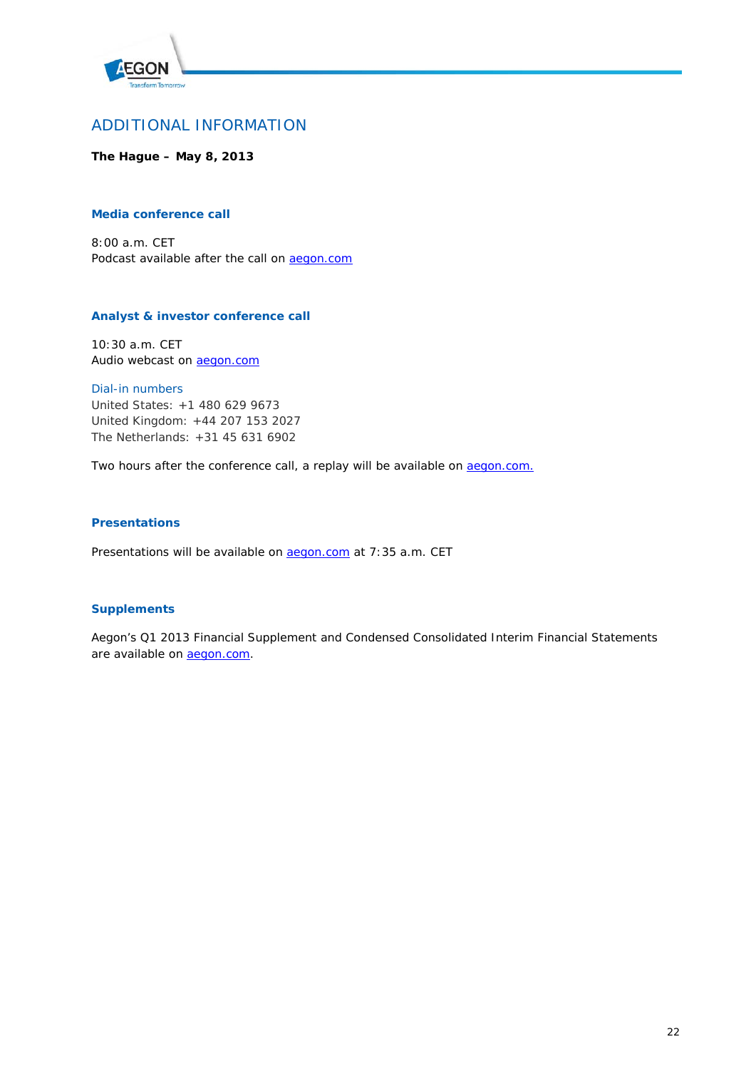

## ADDITIONAL INFORMATION

**The Hague – May 8, 2013**

### **Media conference call**

8:00 a.m. CET Podcast available after the call on **aegon.com** 

### **Analyst & investor conference call**

10:30 a.m. CET Audio webcast on **aegon.com** 

*Dial-in numbers* United States: +1 480 629 9673 United Kingdom: +44 207 153 2027 The Netherlands: +31 45 631 6902

Two hours after the conference call, a replay will be available on **aegon.com.** 

### **Presentations**

Presentations will be available on **aegon.com** at 7:35 a.m. CET

### **Supplements**

Aegon's Q1 2013 Financial Supplement and Condensed Consolidated Interim Financial Statements are available on **aegon.com**.